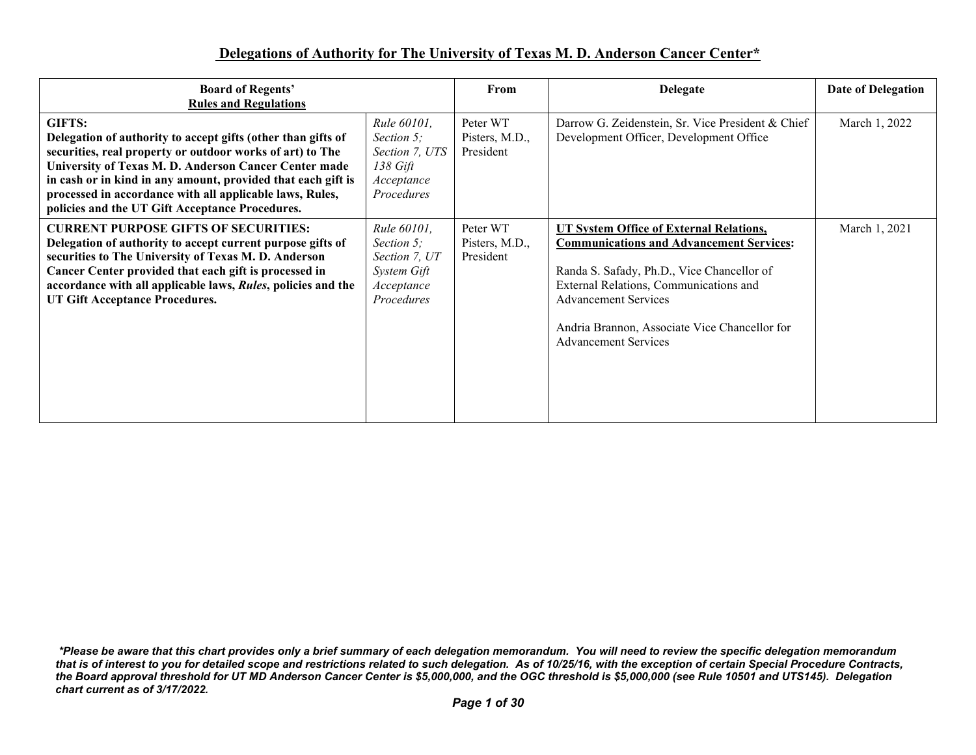## **Delegations of Authority for The University of Texas M. D. Anderson Cancer Center\***

| <b>Board of Regents'</b><br><b>Rules and Regulations</b>                                                                                                                                                                                                                                                                                                                           |                                                                                               | From                                    | <b>Delegate</b>                                                                                                                                                                                                                                                                                          | Date of Delegation |
|------------------------------------------------------------------------------------------------------------------------------------------------------------------------------------------------------------------------------------------------------------------------------------------------------------------------------------------------------------------------------------|-----------------------------------------------------------------------------------------------|-----------------------------------------|----------------------------------------------------------------------------------------------------------------------------------------------------------------------------------------------------------------------------------------------------------------------------------------------------------|--------------------|
| <b>GIFTS:</b><br>Delegation of authority to accept gifts (other than gifts of<br>securities, real property or outdoor works of art) to The<br>University of Texas M. D. Anderson Cancer Center made<br>in cash or in kind in any amount, provided that each gift is<br>processed in accordance with all applicable laws, Rules,<br>policies and the UT Gift Acceptance Procedures. | Rule 60101,<br>Section 5;<br>Section 7, UTS<br>138 Gift<br>Acceptance<br>Procedures           | Peter WT<br>Pisters, M.D.,<br>President | Darrow G. Zeidenstein, Sr. Vice President & Chief<br>Development Officer, Development Office                                                                                                                                                                                                             | March 1, 2022      |
| <b>CURRENT PURPOSE GIFTS OF SECURITIES:</b><br>Delegation of authority to accept current purpose gifts of<br>securities to The University of Texas M. D. Anderson<br>Cancer Center provided that each gift is processed in<br>accordance with all applicable laws, Rules, policies and the<br>UT Gift Acceptance Procedures.                                                       | <i>Rule 60101</i> ,<br>Section 5:<br>Section 7, UT<br>System Gift<br>Acceptance<br>Procedures | Peter WT<br>Pisters, M.D.,<br>President | <b>UT System Office of External Relations,</b><br><b>Communications and Advancement Services:</b><br>Randa S. Safady, Ph.D., Vice Chancellor of<br>External Relations, Communications and<br><b>Advancement Services</b><br>Andria Brannon, Associate Vice Chancellor for<br><b>Advancement Services</b> | March 1, 2021      |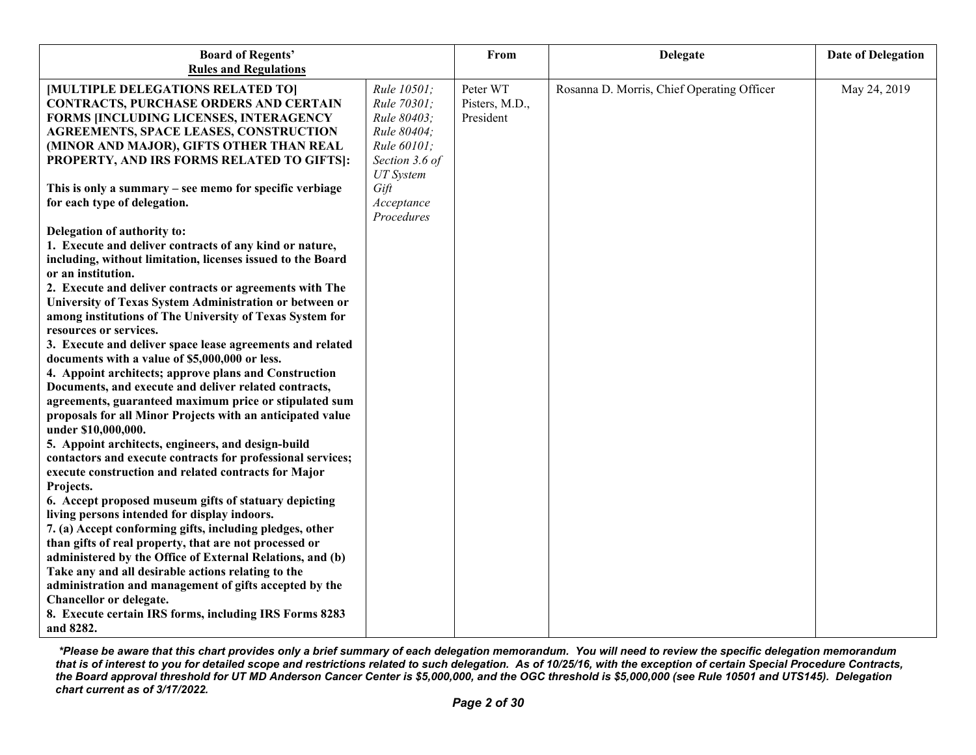| <b>Board of Regents'</b>                                                           |                            | From                       | <b>Delegate</b>                            | <b>Date of Delegation</b> |
|------------------------------------------------------------------------------------|----------------------------|----------------------------|--------------------------------------------|---------------------------|
| <b>Rules and Regulations</b>                                                       |                            |                            |                                            |                           |
| [MULTIPLE DELEGATIONS RELATED TO]<br><b>CONTRACTS, PURCHASE ORDERS AND CERTAIN</b> | Rule 10501;<br>Rule 70301; | Peter WT<br>Pisters, M.D., | Rosanna D. Morris, Chief Operating Officer | May 24, 2019              |
| FORMS [INCLUDING LICENSES, INTERAGENCY                                             | Rule 80403;                | President                  |                                            |                           |
| <b>AGREEMENTS, SPACE LEASES, CONSTRUCTION</b>                                      | Rule 80404;                |                            |                                            |                           |
| (MINOR AND MAJOR), GIFTS OTHER THAN REAL                                           | Rule 60101;                |                            |                                            |                           |
| PROPERTY, AND IRS FORMS RELATED TO GIFTS]:                                         | Section 3.6 of             |                            |                                            |                           |
|                                                                                    | <b>UT</b> System           |                            |                                            |                           |
| This is only a summary – see memo for specific verbiage                            | Gift                       |                            |                                            |                           |
| for each type of delegation.                                                       | Acceptance                 |                            |                                            |                           |
|                                                                                    | Procedures                 |                            |                                            |                           |
| Delegation of authority to:                                                        |                            |                            |                                            |                           |
| 1. Execute and deliver contracts of any kind or nature,                            |                            |                            |                                            |                           |
| including, without limitation, licenses issued to the Board                        |                            |                            |                                            |                           |
| or an institution.                                                                 |                            |                            |                                            |                           |
| 2. Execute and deliver contracts or agreements with The                            |                            |                            |                                            |                           |
| University of Texas System Administration or between or                            |                            |                            |                                            |                           |
| among institutions of The University of Texas System for                           |                            |                            |                                            |                           |
| resources or services.                                                             |                            |                            |                                            |                           |
| 3. Execute and deliver space lease agreements and related                          |                            |                            |                                            |                           |
| documents with a value of \$5,000,000 or less.                                     |                            |                            |                                            |                           |
| 4. Appoint architects; approve plans and Construction                              |                            |                            |                                            |                           |
| Documents, and execute and deliver related contracts,                              |                            |                            |                                            |                           |
| agreements, guaranteed maximum price or stipulated sum                             |                            |                            |                                            |                           |
| proposals for all Minor Projects with an anticipated value                         |                            |                            |                                            |                           |
| under \$10,000,000.                                                                |                            |                            |                                            |                           |
| 5. Appoint architects, engineers, and design-build                                 |                            |                            |                                            |                           |
| contactors and execute contracts for professional services;                        |                            |                            |                                            |                           |
| execute construction and related contracts for Major                               |                            |                            |                                            |                           |
| Projects.                                                                          |                            |                            |                                            |                           |
| 6. Accept proposed museum gifts of statuary depicting                              |                            |                            |                                            |                           |
| living persons intended for display indoors.                                       |                            |                            |                                            |                           |
| 7. (a) Accept conforming gifts, including pledges, other                           |                            |                            |                                            |                           |
| than gifts of real property, that are not processed or                             |                            |                            |                                            |                           |
| administered by the Office of External Relations, and (b)                          |                            |                            |                                            |                           |
| Take any and all desirable actions relating to the                                 |                            |                            |                                            |                           |
| administration and management of gifts accepted by the                             |                            |                            |                                            |                           |
| Chancellor or delegate.                                                            |                            |                            |                                            |                           |
| 8. Execute certain IRS forms, including IRS Forms 8283                             |                            |                            |                                            |                           |
| and 8282.                                                                          |                            |                            |                                            |                           |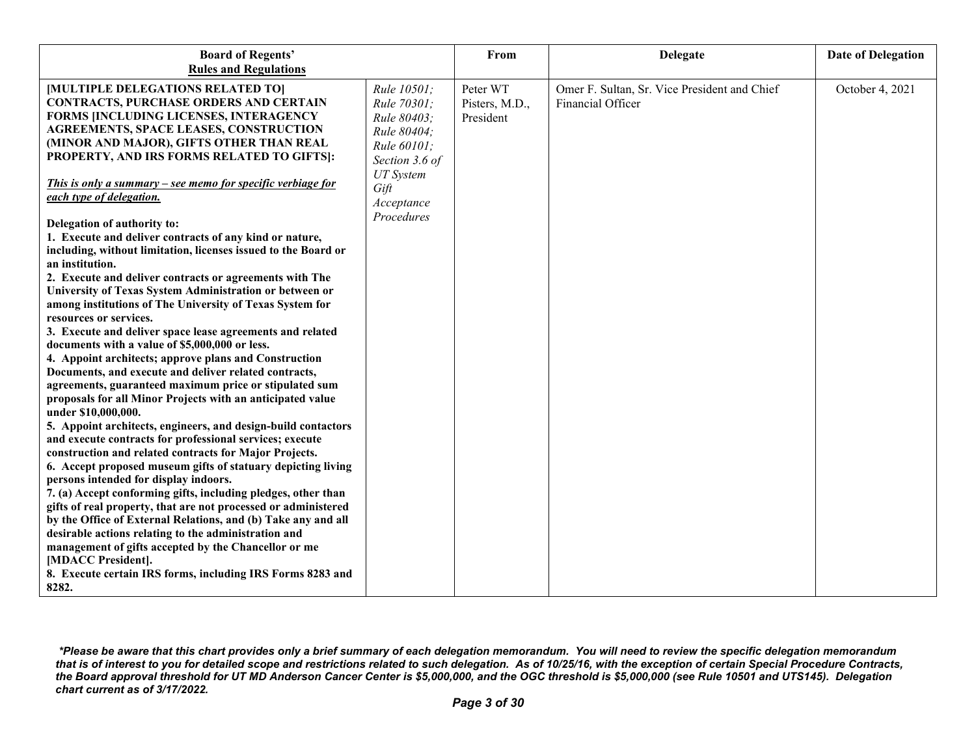| <b>Board of Regents'</b>                                                                                            |                  | From           | <b>Delegate</b>                              | <b>Date of Delegation</b> |
|---------------------------------------------------------------------------------------------------------------------|------------------|----------------|----------------------------------------------|---------------------------|
| <b>Rules and Regulations</b>                                                                                        |                  |                |                                              |                           |
| [MULTIPLE DELEGATIONS RELATED TO]                                                                                   | Rule 10501;      | Peter WT       | Omer F. Sultan, Sr. Vice President and Chief | October 4, 2021           |
| <b>CONTRACTS, PURCHASE ORDERS AND CERTAIN</b>                                                                       | Rule 70301;      | Pisters, M.D., | Financial Officer                            |                           |
| FORMS JINCLUDING LICENSES, INTERAGENCY                                                                              | Rule 80403;      | President      |                                              |                           |
| <b>AGREEMENTS, SPACE LEASES, CONSTRUCTION</b>                                                                       | Rule 80404;      |                |                                              |                           |
| (MINOR AND MAJOR), GIFTS OTHER THAN REAL                                                                            | Rule 60101;      |                |                                              |                           |
| PROPERTY, AND IRS FORMS RELATED TO GIFTS]:                                                                          | Section 3.6 of   |                |                                              |                           |
|                                                                                                                     | <b>UT</b> System |                |                                              |                           |
| This is only a summary – see memo for specific verbiage for                                                         | Gift             |                |                                              |                           |
| each type of delegation.                                                                                            | Acceptance       |                |                                              |                           |
|                                                                                                                     | Procedures       |                |                                              |                           |
| Delegation of authority to:                                                                                         |                  |                |                                              |                           |
| 1. Execute and deliver contracts of any kind or nature,                                                             |                  |                |                                              |                           |
| including, without limitation, licenses issued to the Board or                                                      |                  |                |                                              |                           |
| an institution.                                                                                                     |                  |                |                                              |                           |
| 2. Execute and deliver contracts or agreements with The                                                             |                  |                |                                              |                           |
| University of Texas System Administration or between or<br>among institutions of The University of Texas System for |                  |                |                                              |                           |
| resources or services.                                                                                              |                  |                |                                              |                           |
| 3. Execute and deliver space lease agreements and related                                                           |                  |                |                                              |                           |
| documents with a value of \$5,000,000 or less.                                                                      |                  |                |                                              |                           |
| 4. Appoint architects; approve plans and Construction                                                               |                  |                |                                              |                           |
| Documents, and execute and deliver related contracts,                                                               |                  |                |                                              |                           |
| agreements, guaranteed maximum price or stipulated sum                                                              |                  |                |                                              |                           |
| proposals for all Minor Projects with an anticipated value                                                          |                  |                |                                              |                           |
| under \$10,000,000.                                                                                                 |                  |                |                                              |                           |
| 5. Appoint architects, engineers, and design-build contactors                                                       |                  |                |                                              |                           |
| and execute contracts for professional services; execute                                                            |                  |                |                                              |                           |
| construction and related contracts for Major Projects.                                                              |                  |                |                                              |                           |
| 6. Accept proposed museum gifts of statuary depicting living                                                        |                  |                |                                              |                           |
| persons intended for display indoors.                                                                               |                  |                |                                              |                           |
| 7. (a) Accept conforming gifts, including pledges, other than                                                       |                  |                |                                              |                           |
| gifts of real property, that are not processed or administered                                                      |                  |                |                                              |                           |
| by the Office of External Relations, and (b) Take any and all                                                       |                  |                |                                              |                           |
| desirable actions relating to the administration and                                                                |                  |                |                                              |                           |
| management of gifts accepted by the Chancellor or me                                                                |                  |                |                                              |                           |
| [MDACC President].                                                                                                  |                  |                |                                              |                           |
| 8. Execute certain IRS forms, including IRS Forms 8283 and                                                          |                  |                |                                              |                           |
| 8282.                                                                                                               |                  |                |                                              |                           |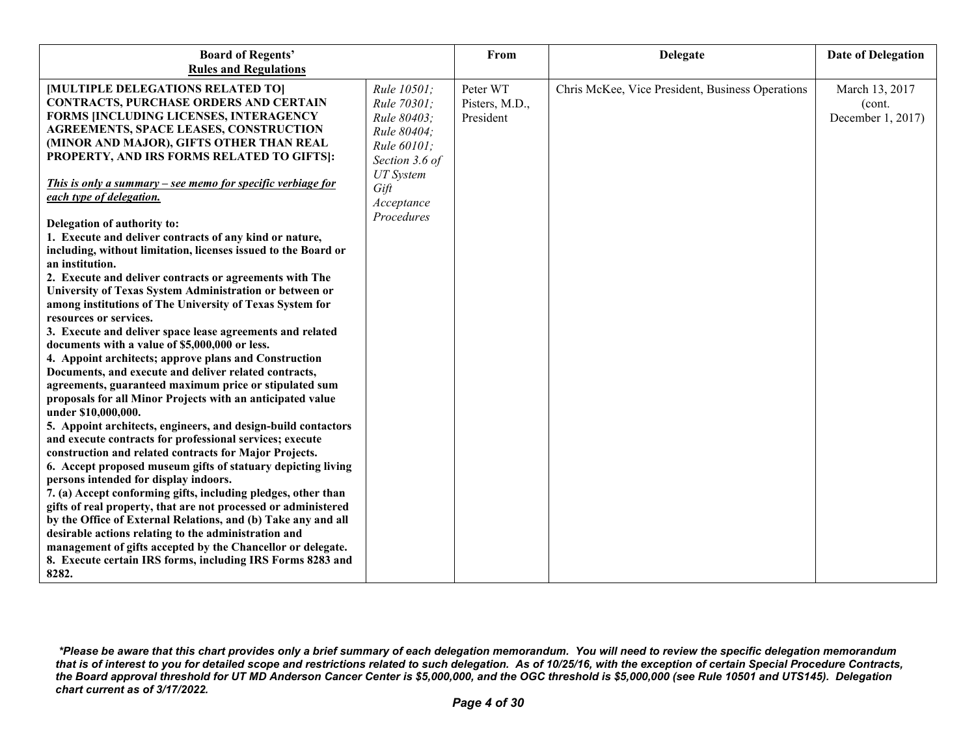| <b>Board of Regents'</b>                                                                                                     |                                           | From                       | <b>Delegate</b>                                  | <b>Date of Delegation</b> |
|------------------------------------------------------------------------------------------------------------------------------|-------------------------------------------|----------------------------|--------------------------------------------------|---------------------------|
| <b>Rules and Regulations</b>                                                                                                 |                                           |                            |                                                  |                           |
| [MULTIPLE DELEGATIONS RELATED TO]<br><b>CONTRACTS, PURCHASE ORDERS AND CERTAIN</b><br>FORMS JINCLUDING LICENSES, INTERAGENCY | Rule 10501;<br>Rule 70301;                | Peter WT<br>Pisters, M.D., | Chris McKee, Vice President, Business Operations | March 13, 2017<br>(cont.  |
| <b>AGREEMENTS, SPACE LEASES, CONSTRUCTION</b><br>(MINOR AND MAJOR), GIFTS OTHER THAN REAL                                    | Rule 80403;<br>Rule 80404;<br>Rule 60101; | President                  |                                                  | December 1, 2017)         |
| PROPERTY, AND IRS FORMS RELATED TO GIFTS]:<br>This is only a summary – see memo for specific verbiage for                    | Section 3.6 of<br><b>UT</b> System        |                            |                                                  |                           |
| each type of delegation.                                                                                                     | Gift<br>Acceptance<br>Procedures          |                            |                                                  |                           |
| Delegation of authority to:                                                                                                  |                                           |                            |                                                  |                           |
| 1. Execute and deliver contracts of any kind or nature,<br>including, without limitation, licenses issued to the Board or    |                                           |                            |                                                  |                           |
| an institution.                                                                                                              |                                           |                            |                                                  |                           |
| 2. Execute and deliver contracts or agreements with The                                                                      |                                           |                            |                                                  |                           |
| University of Texas System Administration or between or                                                                      |                                           |                            |                                                  |                           |
| among institutions of The University of Texas System for                                                                     |                                           |                            |                                                  |                           |
| resources or services.                                                                                                       |                                           |                            |                                                  |                           |
| 3. Execute and deliver space lease agreements and related                                                                    |                                           |                            |                                                  |                           |
| documents with a value of \$5,000,000 or less.                                                                               |                                           |                            |                                                  |                           |
| 4. Appoint architects; approve plans and Construction                                                                        |                                           |                            |                                                  |                           |
| Documents, and execute and deliver related contracts,                                                                        |                                           |                            |                                                  |                           |
| agreements, guaranteed maximum price or stipulated sum                                                                       |                                           |                            |                                                  |                           |
| proposals for all Minor Projects with an anticipated value                                                                   |                                           |                            |                                                  |                           |
| under \$10,000,000.<br>5. Appoint architects, engineers, and design-build contactors                                         |                                           |                            |                                                  |                           |
| and execute contracts for professional services; execute                                                                     |                                           |                            |                                                  |                           |
| construction and related contracts for Major Projects.                                                                       |                                           |                            |                                                  |                           |
| 6. Accept proposed museum gifts of statuary depicting living                                                                 |                                           |                            |                                                  |                           |
| persons intended for display indoors.                                                                                        |                                           |                            |                                                  |                           |
| 7. (a) Accept conforming gifts, including pledges, other than                                                                |                                           |                            |                                                  |                           |
| gifts of real property, that are not processed or administered                                                               |                                           |                            |                                                  |                           |
| by the Office of External Relations, and (b) Take any and all                                                                |                                           |                            |                                                  |                           |
| desirable actions relating to the administration and                                                                         |                                           |                            |                                                  |                           |
| management of gifts accepted by the Chancellor or delegate.                                                                  |                                           |                            |                                                  |                           |
| 8. Execute certain IRS forms, including IRS Forms 8283 and                                                                   |                                           |                            |                                                  |                           |
| 8282.                                                                                                                        |                                           |                            |                                                  |                           |

*<sup>\*</sup>Please be aware that this chart provides only a brief summary of each delegation memorandum. You will need to review the specific delegation memorandum that is of interest to you for detailed scope and restrictions related to such delegation. As of 10/25/16, with the exception of certain Special Procedure Contracts, the Board approval threshold for UT MD Anderson Cancer Center is \$5,000,000, and the OGC threshold is \$5,000,000 (see Rule 10501 and UTS145). Delegation chart current as of 3/17/2022.*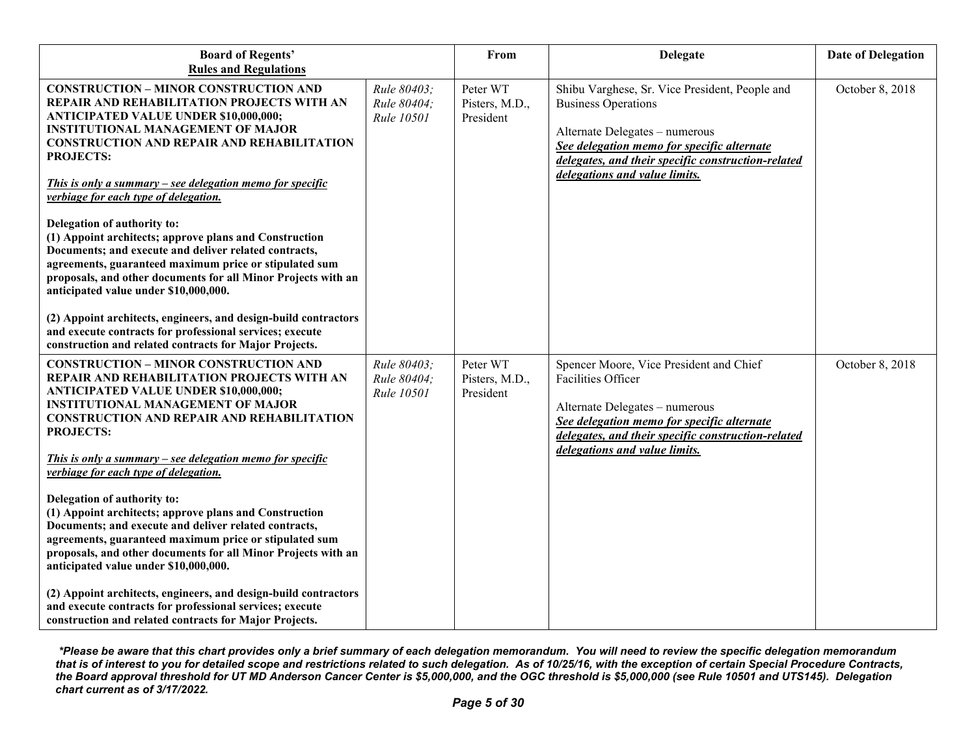| <b>Board of Regents'</b><br><b>Rules and Regulations</b>                                                                                                                                                                                                                                                                                                                                                                                                                                                                                                                                                                                                                                                                                                                                                                                                                             |                                          | From                                    | <b>Delegate</b>                                                                                                                                                                                                                                     | <b>Date of Delegation</b> |
|--------------------------------------------------------------------------------------------------------------------------------------------------------------------------------------------------------------------------------------------------------------------------------------------------------------------------------------------------------------------------------------------------------------------------------------------------------------------------------------------------------------------------------------------------------------------------------------------------------------------------------------------------------------------------------------------------------------------------------------------------------------------------------------------------------------------------------------------------------------------------------------|------------------------------------------|-----------------------------------------|-----------------------------------------------------------------------------------------------------------------------------------------------------------------------------------------------------------------------------------------------------|---------------------------|
| <b>CONSTRUCTION - MINOR CONSTRUCTION AND</b><br>REPAIR AND REHABILITATION PROJECTS WITH AN<br><b>ANTICIPATED VALUE UNDER \$10,000,000;</b><br><b>INSTITUTIONAL MANAGEMENT OF MAJOR</b><br><b>CONSTRUCTION AND REPAIR AND REHABILITATION</b><br><b>PROJECTS:</b><br>This is only a summary – see delegation memo for specific<br>verbiage for each type of delegation.<br>Delegation of authority to:<br>(1) Appoint architects; approve plans and Construction<br>Documents; and execute and deliver related contracts,<br>agreements, guaranteed maximum price or stipulated sum<br>proposals, and other documents for all Minor Projects with an<br>anticipated value under \$10,000,000.<br>(2) Appoint architects, engineers, and design-build contractors<br>and execute contracts for professional services; execute<br>construction and related contracts for Major Projects. | Rule 80403;<br>Rule 80404;<br>Rule 10501 | Peter WT<br>Pisters, M.D.,<br>President | Shibu Varghese, Sr. Vice President, People and<br><b>Business Operations</b><br>Alternate Delegates - numerous<br>See delegation memo for specific alternate<br>delegates, and their specific construction-related<br>delegations and value limits. | October 8, 2018           |
| <b>CONSTRUCTION - MINOR CONSTRUCTION AND</b><br>REPAIR AND REHABILITATION PROJECTS WITH AN<br><b>ANTICIPATED VALUE UNDER \$10,000,000;</b><br><b>INSTITUTIONAL MANAGEMENT OF MAJOR</b><br><b>CONSTRUCTION AND REPAIR AND REHABILITATION</b><br><b>PROJECTS:</b><br>This is only a summary – see delegation memo for specific<br>verbiage for each type of delegation.<br>Delegation of authority to:<br>(1) Appoint architects; approve plans and Construction<br>Documents; and execute and deliver related contracts,<br>agreements, guaranteed maximum price or stipulated sum<br>proposals, and other documents for all Minor Projects with an<br>anticipated value under \$10,000,000.<br>(2) Appoint architects, engineers, and design-build contractors<br>and execute contracts for professional services; execute<br>construction and related contracts for Major Projects. | Rule 80403;<br>Rule 80404;<br>Rule 10501 | Peter WT<br>Pisters, M.D.,<br>President | Spencer Moore, Vice President and Chief<br>Facilities Officer<br>Alternate Delegates - numerous<br>See delegation memo for specific alternate<br>delegates, and their specific construction-related<br>delegations and value limits.                | October 8, 2018           |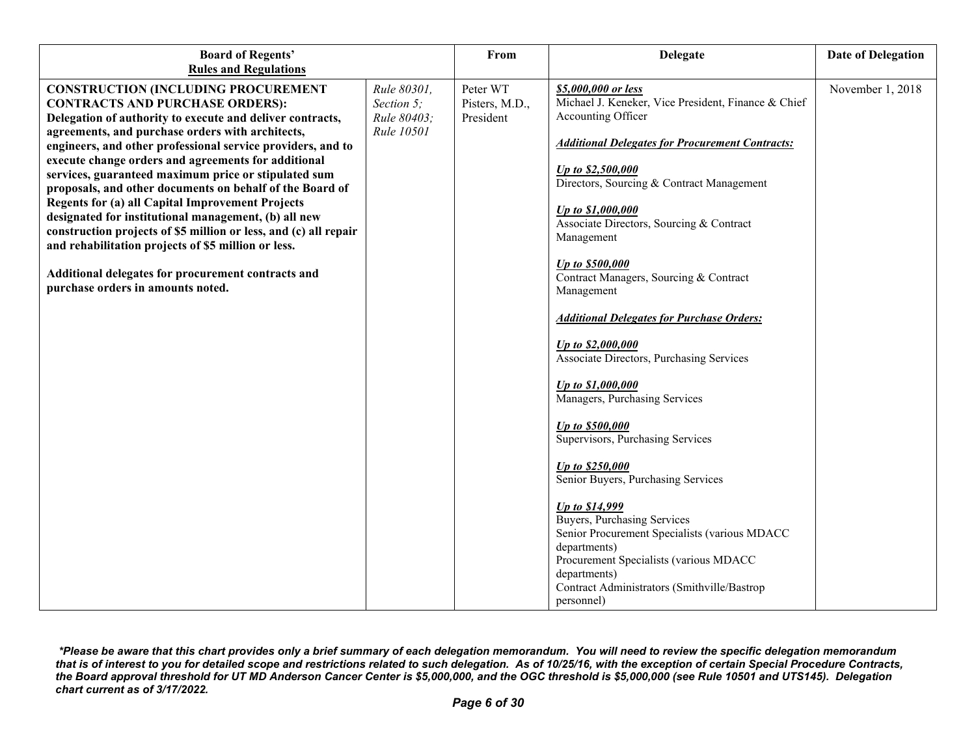| <b>Board of Regents'</b><br><b>Rules and Regulations</b>         |             | From           | <b>Delegate</b>                                                                                                                                                                                                                       | <b>Date of Delegation</b> |
|------------------------------------------------------------------|-------------|----------------|---------------------------------------------------------------------------------------------------------------------------------------------------------------------------------------------------------------------------------------|---------------------------|
| <b>CONSTRUCTION (INCLUDING PROCUREMENT</b>                       | Rule 80301, | Peter WT       | \$5,000,000 or less                                                                                                                                                                                                                   | November 1, 2018          |
| <b>CONTRACTS AND PURCHASE ORDERS):</b>                           | Section 5;  | Pisters, M.D., | Michael J. Keneker, Vice President, Finance & Chief                                                                                                                                                                                   |                           |
| Delegation of authority to execute and deliver contracts,        | Rule 80403; | President      | Accounting Officer                                                                                                                                                                                                                    |                           |
| agreements, and purchase orders with architects,                 | Rule 10501  |                |                                                                                                                                                                                                                                       |                           |
| engineers, and other professional service providers, and to      |             |                | <b>Additional Delegates for Procurement Contracts:</b>                                                                                                                                                                                |                           |
| execute change orders and agreements for additional              |             |                |                                                                                                                                                                                                                                       |                           |
| services, guaranteed maximum price or stipulated sum             |             |                | Up to \$2,500,000<br>Directors, Sourcing & Contract Management                                                                                                                                                                        |                           |
| proposals, and other documents on behalf of the Board of         |             |                |                                                                                                                                                                                                                                       |                           |
| <b>Regents for (a) all Capital Improvement Projects</b>          |             |                | Up to \$1,000,000                                                                                                                                                                                                                     |                           |
| designated for institutional management, (b) all new             |             |                | Associate Directors, Sourcing & Contract                                                                                                                                                                                              |                           |
| construction projects of \$5 million or less, and (c) all repair |             |                | Management                                                                                                                                                                                                                            |                           |
| and rehabilitation projects of \$5 million or less.              |             |                |                                                                                                                                                                                                                                       |                           |
| Additional delegates for procurement contracts and               |             |                | Up to \$500,000                                                                                                                                                                                                                       |                           |
| purchase orders in amounts noted.                                |             |                | Contract Managers, Sourcing & Contract                                                                                                                                                                                                |                           |
|                                                                  |             |                | Management                                                                                                                                                                                                                            |                           |
|                                                                  |             |                | <b>Additional Delegates for Purchase Orders:</b>                                                                                                                                                                                      |                           |
|                                                                  |             |                | Up to \$2,000,000<br>Associate Directors, Purchasing Services                                                                                                                                                                         |                           |
|                                                                  |             |                | Up to \$1,000,000<br>Managers, Purchasing Services                                                                                                                                                                                    |                           |
|                                                                  |             |                | Up to \$500,000<br>Supervisors, Purchasing Services                                                                                                                                                                                   |                           |
|                                                                  |             |                | Up to \$250,000<br>Senior Buyers, Purchasing Services                                                                                                                                                                                 |                           |
|                                                                  |             |                | Up to \$14,999<br>Buyers, Purchasing Services<br>Senior Procurement Specialists (various MDACC<br>departments)<br>Procurement Specialists (various MDACC<br>departments)<br>Contract Administrators (Smithville/Bastrop<br>personnel) |                           |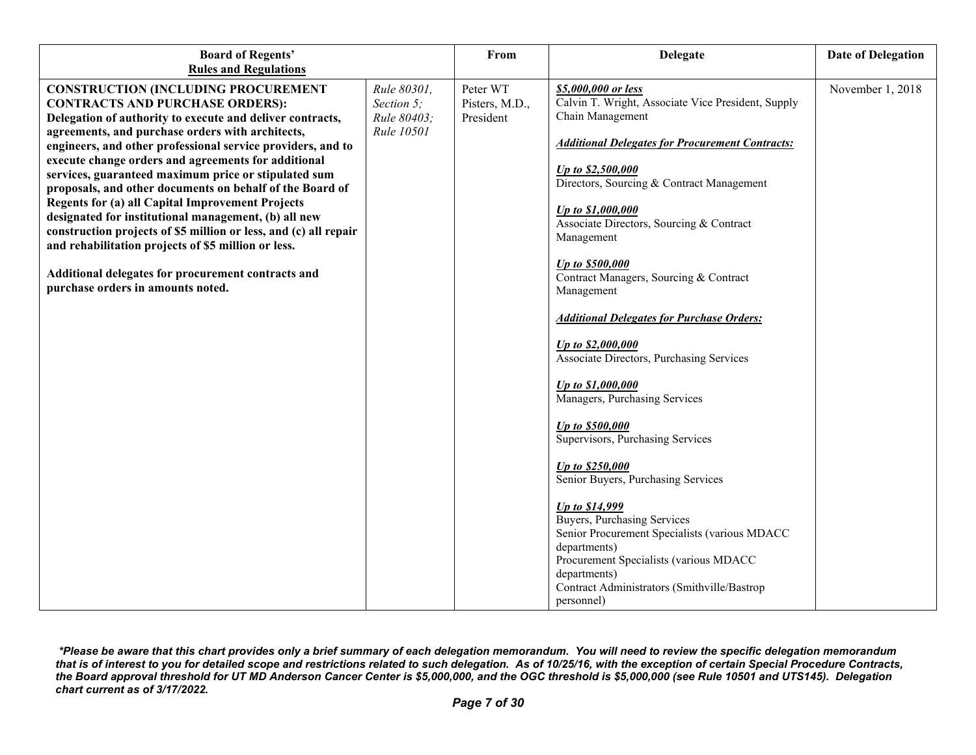| <b>Board of Regents'</b>                                                                                                                                                                                                                                                                                                                                                                                                                                                                                                                                                                                                                                                                                                                                                                                                 |                                                        | From                                    | <b>Delegate</b>                                                                                                                                                                                                                                                                                                                                                                                                                                                                                                                  | <b>Date of Delegation</b> |
|--------------------------------------------------------------------------------------------------------------------------------------------------------------------------------------------------------------------------------------------------------------------------------------------------------------------------------------------------------------------------------------------------------------------------------------------------------------------------------------------------------------------------------------------------------------------------------------------------------------------------------------------------------------------------------------------------------------------------------------------------------------------------------------------------------------------------|--------------------------------------------------------|-----------------------------------------|----------------------------------------------------------------------------------------------------------------------------------------------------------------------------------------------------------------------------------------------------------------------------------------------------------------------------------------------------------------------------------------------------------------------------------------------------------------------------------------------------------------------------------|---------------------------|
| <b>Rules and Regulations</b><br><b>CONSTRUCTION (INCLUDING PROCUREMENT</b><br><b>CONTRACTS AND PURCHASE ORDERS):</b><br>Delegation of authority to execute and deliver contracts,<br>agreements, and purchase orders with architects,<br>engineers, and other professional service providers, and to<br>execute change orders and agreements for additional<br>services, guaranteed maximum price or stipulated sum<br>proposals, and other documents on behalf of the Board of<br><b>Regents for (a) all Capital Improvement Projects</b><br>designated for institutional management, (b) all new<br>construction projects of \$5 million or less, and (c) all repair<br>and rehabilitation projects of \$5 million or less.<br>Additional delegates for procurement contracts and<br>purchase orders in amounts noted. | Rule 80301,<br>Section 5;<br>Rule 80403;<br>Rule 10501 | Peter WT<br>Pisters, M.D.,<br>President | \$5,000,000 or less<br>Calvin T. Wright, Associate Vice President, Supply<br>Chain Management<br><b>Additional Delegates for Procurement Contracts:</b><br>Up to \$2,500,000<br>Directors, Sourcing & Contract Management<br>Up to \$1,000,000<br>Associate Directors, Sourcing & Contract<br>Management<br>Up to \$500,000<br>Contract Managers, Sourcing & Contract<br>Management                                                                                                                                              | November 1, 2018          |
|                                                                                                                                                                                                                                                                                                                                                                                                                                                                                                                                                                                                                                                                                                                                                                                                                          |                                                        |                                         | <b>Additional Delegates for Purchase Orders:</b><br>Up to \$2,000,000<br>Associate Directors, Purchasing Services<br>Up to \$1,000,000<br>Managers, Purchasing Services<br>Up to \$500,000<br>Supervisors, Purchasing Services<br>Up to \$250,000<br>Senior Buyers, Purchasing Services<br>Up to \$14,999<br>Buyers, Purchasing Services<br>Senior Procurement Specialists (various MDACC<br>departments)<br>Procurement Specialists (various MDACC<br>departments)<br>Contract Administrators (Smithville/Bastrop<br>personnel) |                           |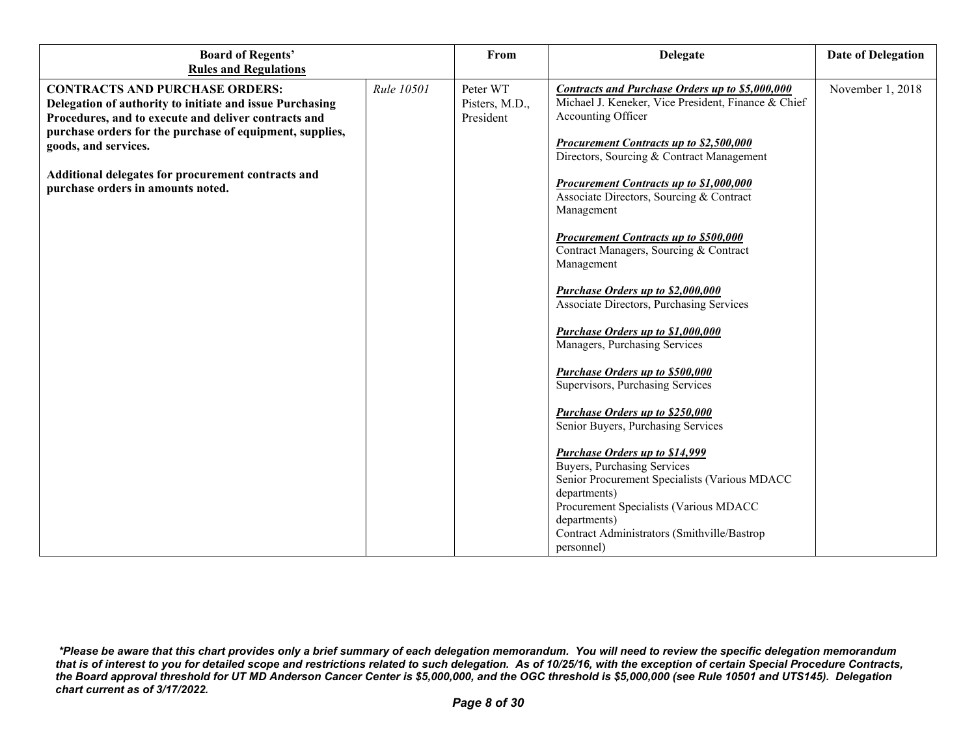| <b>Board of Regents'</b><br><b>Rules and Regulations</b>                                                                                                                                                                                                                                                                                 |            | From                                    | <b>Delegate</b>                                                                                                                                                                                                                                                                                                                                                                                                                                                                                                                                                                                                                                                                                                                                                                                                                                                                                                                           | <b>Date of Delegation</b> |
|------------------------------------------------------------------------------------------------------------------------------------------------------------------------------------------------------------------------------------------------------------------------------------------------------------------------------------------|------------|-----------------------------------------|-------------------------------------------------------------------------------------------------------------------------------------------------------------------------------------------------------------------------------------------------------------------------------------------------------------------------------------------------------------------------------------------------------------------------------------------------------------------------------------------------------------------------------------------------------------------------------------------------------------------------------------------------------------------------------------------------------------------------------------------------------------------------------------------------------------------------------------------------------------------------------------------------------------------------------------------|---------------------------|
| <b>CONTRACTS AND PURCHASE ORDERS:</b><br>Delegation of authority to initiate and issue Purchasing<br>Procedures, and to execute and deliver contracts and<br>purchase orders for the purchase of equipment, supplies,<br>goods, and services.<br>Additional delegates for procurement contracts and<br>purchase orders in amounts noted. | Rule 10501 | Peter WT<br>Pisters, M.D.,<br>President | <b>Contracts and Purchase Orders up to \$5,000,000</b><br>Michael J. Keneker, Vice President, Finance & Chief<br>Accounting Officer<br>Procurement Contracts up to \$2,500,000<br>Directors, Sourcing & Contract Management<br>Procurement Contracts up to \$1,000,000<br>Associate Directors, Sourcing & Contract<br>Management<br><b>Procurement Contracts up to \$500,000</b><br>Contract Managers, Sourcing & Contract<br>Management<br>Purchase Orders up to \$2,000,000<br>Associate Directors, Purchasing Services<br>Purchase Orders up to \$1,000,000<br>Managers, Purchasing Services<br>Purchase Orders up to \$500,000<br>Supervisors, Purchasing Services<br>Purchase Orders up to \$250,000<br>Senior Buyers, Purchasing Services<br><b>Purchase Orders up to \$14,999</b><br><b>Buyers, Purchasing Services</b><br>Senior Procurement Specialists (Various MDACC<br>departments)<br>Procurement Specialists (Various MDACC | November 1, 2018          |
|                                                                                                                                                                                                                                                                                                                                          |            |                                         | departments)<br>Contract Administrators (Smithville/Bastrop<br>personnel)                                                                                                                                                                                                                                                                                                                                                                                                                                                                                                                                                                                                                                                                                                                                                                                                                                                                 |                           |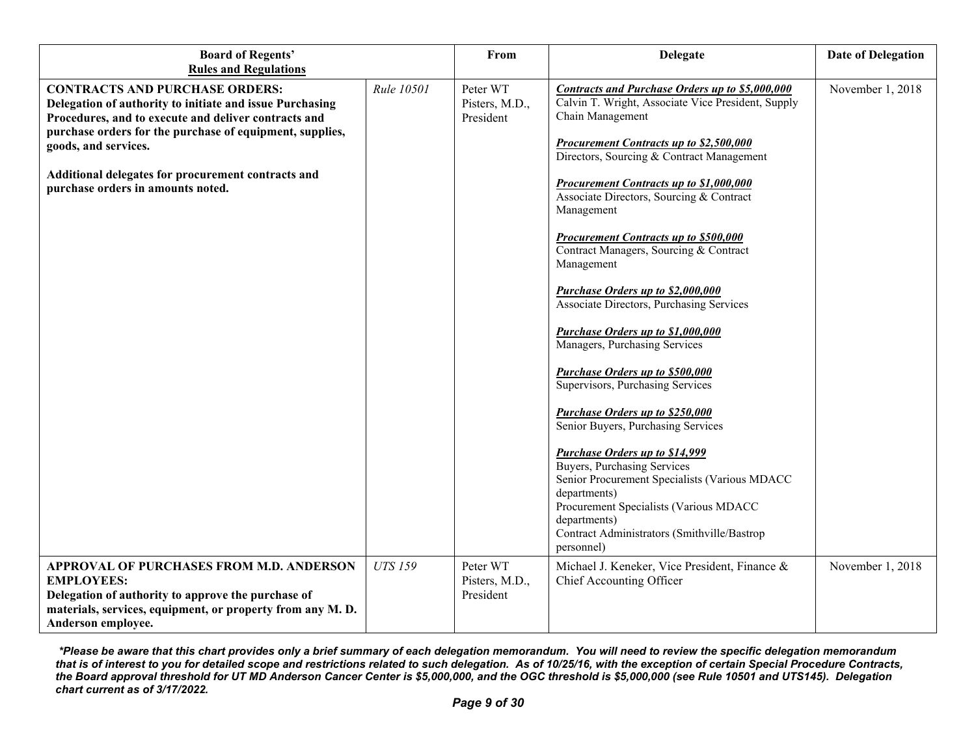| <b>Board of Regents'</b><br><b>Rules and Regulations</b>                                                                                                                                                                                                                                                                                 |                | From                                    | <b>Delegate</b>                                                                                                                                                                                                                                                                                                                                                                                                                                                                                                                                                                                                                                                                                                                                                                                                                                                                                                                                                                                              | <b>Date of Delegation</b> |
|------------------------------------------------------------------------------------------------------------------------------------------------------------------------------------------------------------------------------------------------------------------------------------------------------------------------------------------|----------------|-----------------------------------------|--------------------------------------------------------------------------------------------------------------------------------------------------------------------------------------------------------------------------------------------------------------------------------------------------------------------------------------------------------------------------------------------------------------------------------------------------------------------------------------------------------------------------------------------------------------------------------------------------------------------------------------------------------------------------------------------------------------------------------------------------------------------------------------------------------------------------------------------------------------------------------------------------------------------------------------------------------------------------------------------------------------|---------------------------|
| <b>CONTRACTS AND PURCHASE ORDERS:</b><br>Delegation of authority to initiate and issue Purchasing<br>Procedures, and to execute and deliver contracts and<br>purchase orders for the purchase of equipment, supplies,<br>goods, and services.<br>Additional delegates for procurement contracts and<br>purchase orders in amounts noted. | Rule 10501     | Peter WT<br>Pisters, M.D.,<br>President | <b>Contracts and Purchase Orders up to \$5,000,000</b><br>Calvin T. Wright, Associate Vice President, Supply<br>Chain Management<br>Procurement Contracts up to \$2,500,000<br>Directors, Sourcing & Contract Management<br>Procurement Contracts up to \$1,000,000<br>Associate Directors, Sourcing & Contract<br>Management<br>Procurement Contracts up to \$500,000<br>Contract Managers, Sourcing & Contract<br>Management<br>Purchase Orders up to \$2,000,000<br>Associate Directors, Purchasing Services<br>Purchase Orders up to \$1,000,000<br>Managers, Purchasing Services<br>Purchase Orders up to \$500,000<br>Supervisors, Purchasing Services<br><b>Purchase Orders up to \$250,000</b><br>Senior Buyers, Purchasing Services<br><b>Purchase Orders up to \$14,999</b><br>Buyers, Purchasing Services<br>Senior Procurement Specialists (Various MDACC<br>departments)<br>Procurement Specialists (Various MDACC<br>departments)<br>Contract Administrators (Smithville/Bastrop<br>personnel) | November 1, 2018          |
| APPROVAL OF PURCHASES FROM M.D. ANDERSON<br><b>EMPLOYEES:</b><br>Delegation of authority to approve the purchase of<br>materials, services, equipment, or property from any M.D.<br>Anderson employee.                                                                                                                                   | <b>UTS 159</b> | Peter WT<br>Pisters, M.D.,<br>President | Michael J. Keneker, Vice President, Finance &<br>Chief Accounting Officer                                                                                                                                                                                                                                                                                                                                                                                                                                                                                                                                                                                                                                                                                                                                                                                                                                                                                                                                    | November 1, 2018          |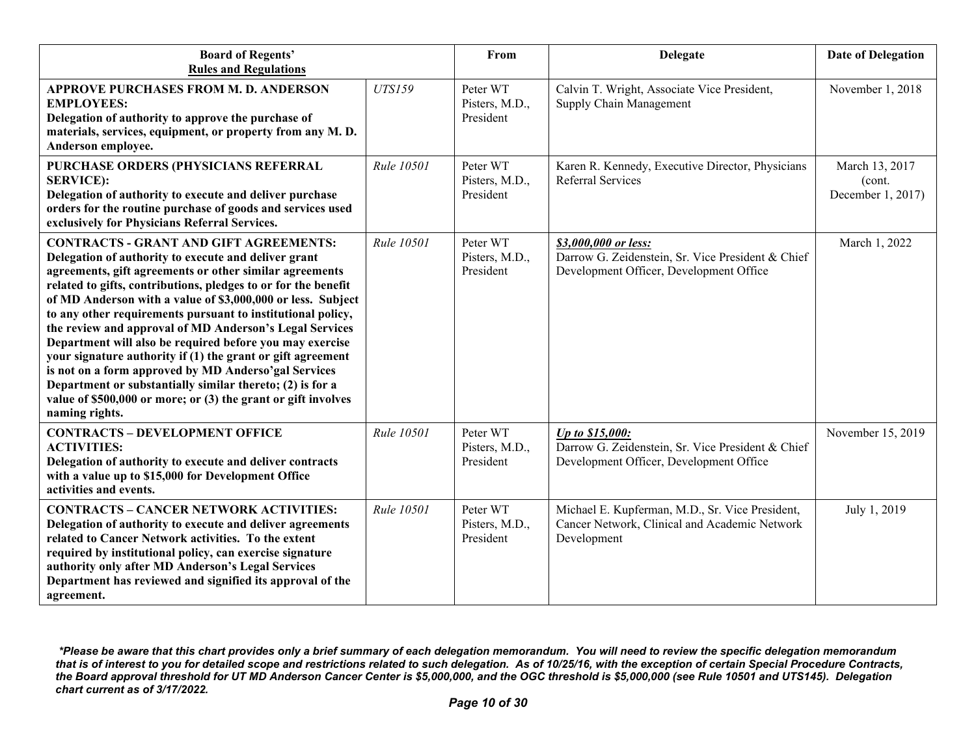| <b>Board of Regents'</b><br><b>Rules and Regulations</b>                                                                                                                                                                                                                                                                                                                                                                                                                                                                                                                                                                                                                                                                                                       |               | From                                    | <b>Delegate</b>                                                                                                      | <b>Date of Delegation</b>                     |
|----------------------------------------------------------------------------------------------------------------------------------------------------------------------------------------------------------------------------------------------------------------------------------------------------------------------------------------------------------------------------------------------------------------------------------------------------------------------------------------------------------------------------------------------------------------------------------------------------------------------------------------------------------------------------------------------------------------------------------------------------------------|---------------|-----------------------------------------|----------------------------------------------------------------------------------------------------------------------|-----------------------------------------------|
| APPROVE PURCHASES FROM M. D. ANDERSON<br><b>EMPLOYEES:</b><br>Delegation of authority to approve the purchase of<br>materials, services, equipment, or property from any M.D.<br>Anderson employee.                                                                                                                                                                                                                                                                                                                                                                                                                                                                                                                                                            | <b>UTS159</b> | Peter WT<br>Pisters, M.D.,<br>President | Calvin T. Wright, Associate Vice President,<br>Supply Chain Management                                               | November 1, 2018                              |
| PURCHASE ORDERS (PHYSICIANS REFERRAL<br><b>SERVICE:</b><br>Delegation of authority to execute and deliver purchase<br>orders for the routine purchase of goods and services used<br>exclusively for Physicians Referral Services.                                                                                                                                                                                                                                                                                                                                                                                                                                                                                                                              | Rule 10501    | Peter WT<br>Pisters, M.D.,<br>President | Karen R. Kennedy, Executive Director, Physicians<br><b>Referral Services</b>                                         | March 13, 2017<br>(cont.<br>December 1, 2017) |
| <b>CONTRACTS - GRANT AND GIFT AGREEMENTS:</b><br>Delegation of authority to execute and deliver grant<br>agreements, gift agreements or other similar agreements<br>related to gifts, contributions, pledges to or for the benefit<br>of MD Anderson with a value of \$3,000,000 or less. Subject<br>to any other requirements pursuant to institutional policy,<br>the review and approval of MD Anderson's Legal Services<br>Department will also be required before you may exercise<br>your signature authority if (1) the grant or gift agreement<br>is not on a form approved by MD Anderso'gal Services<br>Department or substantially similar thereto; (2) is for a<br>value of \$500,000 or more; or (3) the grant or gift involves<br>naming rights. | Rule 10501    | Peter WT<br>Pisters, M.D.,<br>President | \$3,000,000 or less:<br>Darrow G. Zeidenstein, Sr. Vice President & Chief<br>Development Officer, Development Office | March 1, 2022                                 |
| <b>CONTRACTS - DEVELOPMENT OFFICE</b><br><b>ACTIVITIES:</b><br>Delegation of authority to execute and deliver contracts<br>with a value up to \$15,000 for Development Office<br>activities and events.                                                                                                                                                                                                                                                                                                                                                                                                                                                                                                                                                        | Rule 10501    | Peter WT<br>Pisters, M.D.,<br>President | Up to \$15,000:<br>Darrow G. Zeidenstein, Sr. Vice President & Chief<br>Development Officer, Development Office      | November 15, 2019                             |
| <b>CONTRACTS - CANCER NETWORK ACTIVITIES:</b><br>Delegation of authority to execute and deliver agreements<br>related to Cancer Network activities. To the extent<br>required by institutional policy, can exercise signature<br>authority only after MD Anderson's Legal Services<br>Department has reviewed and signified its approval of the<br>agreement.                                                                                                                                                                                                                                                                                                                                                                                                  | Rule 10501    | Peter WT<br>Pisters, M.D.,<br>President | Michael E. Kupferman, M.D., Sr. Vice President,<br>Cancer Network, Clinical and Academic Network<br>Development      | July 1, 2019                                  |

*<sup>\*</sup>Please be aware that this chart provides only a brief summary of each delegation memorandum. You will need to review the specific delegation memorandum that is of interest to you for detailed scope and restrictions related to such delegation. As of 10/25/16, with the exception of certain Special Procedure Contracts, the Board approval threshold for UT MD Anderson Cancer Center is \$5,000,000, and the OGC threshold is \$5,000,000 (see Rule 10501 and UTS145). Delegation chart current as of 3/17/2022.*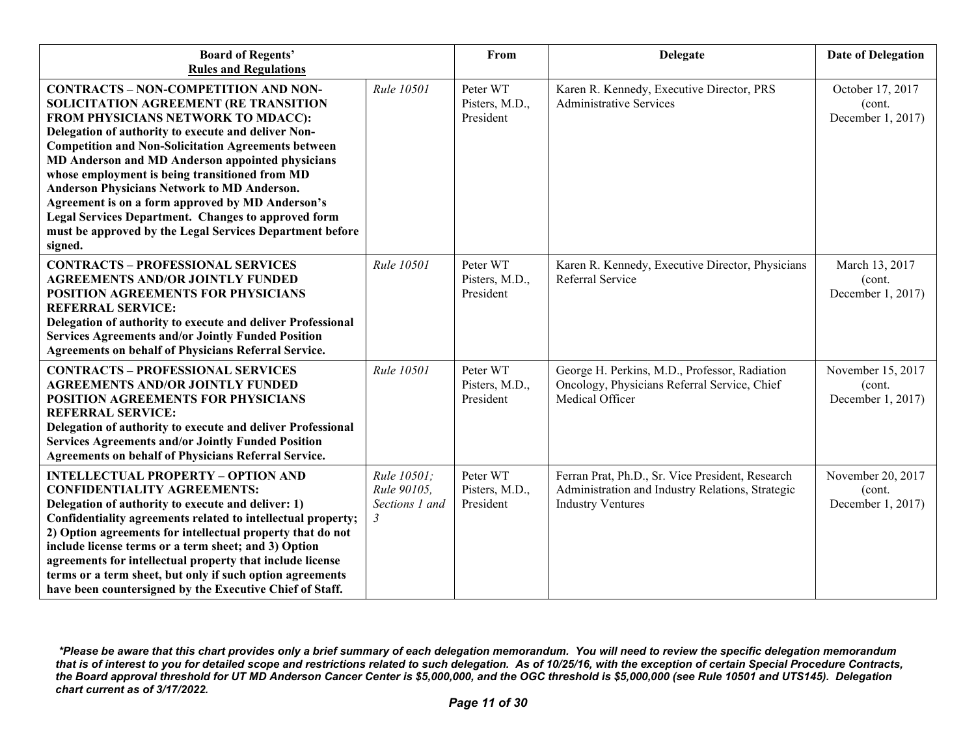| <b>Board of Regents'</b><br><b>Rules and Regulations</b>                                                                                                                                                                                                                                                                                                                                                                                                                                                                                                                                      |                                                   | From                                    | <b>Delegate</b>                                                                                                                  | <b>Date of Delegation</b>                        |
|-----------------------------------------------------------------------------------------------------------------------------------------------------------------------------------------------------------------------------------------------------------------------------------------------------------------------------------------------------------------------------------------------------------------------------------------------------------------------------------------------------------------------------------------------------------------------------------------------|---------------------------------------------------|-----------------------------------------|----------------------------------------------------------------------------------------------------------------------------------|--------------------------------------------------|
| <b>CONTRACTS - NON-COMPETITION AND NON-</b><br>SOLICITATION AGREEMENT (RE TRANSITION<br>FROM PHYSICIANS NETWORK TO MDACC):<br>Delegation of authority to execute and deliver Non-<br><b>Competition and Non-Solicitation Agreements between</b><br>MD Anderson and MD Anderson appointed physicians<br>whose employment is being transitioned from MD<br>Anderson Physicians Network to MD Anderson.<br>Agreement is on a form approved by MD Anderson's<br><b>Legal Services Department. Changes to approved form</b><br>must be approved by the Legal Services Department before<br>signed. | Rule 10501                                        | Peter WT<br>Pisters, M.D.,<br>President | Karen R. Kennedy, Executive Director, PRS<br><b>Administrative Services</b>                                                      | October 17, 2017<br>(cont.<br>December 1, 2017)  |
| <b>CONTRACTS - PROFESSIONAL SERVICES</b><br><b>AGREEMENTS AND/OR JOINTLY FUNDED</b><br>POSITION AGREEMENTS FOR PHYSICIANS<br><b>REFERRAL SERVICE:</b><br>Delegation of authority to execute and deliver Professional<br><b>Services Agreements and/or Jointly Funded Position</b><br>Agreements on behalf of Physicians Referral Service.                                                                                                                                                                                                                                                     | Rule 10501                                        | Peter WT<br>Pisters, M.D.,<br>President | Karen R. Kennedy, Executive Director, Physicians<br>Referral Service                                                             | March 13, 2017<br>(cont.<br>December 1, 2017)    |
| <b>CONTRACTS - PROFESSIONAL SERVICES</b><br><b>AGREEMENTS AND/OR JOINTLY FUNDED</b><br>POSITION AGREEMENTS FOR PHYSICIANS<br><b>REFERRAL SERVICE:</b><br>Delegation of authority to execute and deliver Professional<br><b>Services Agreements and/or Jointly Funded Position</b><br><b>Agreements on behalf of Physicians Referral Service.</b>                                                                                                                                                                                                                                              | Rule 10501                                        | Peter WT<br>Pisters, M.D.,<br>President | George H. Perkins, M.D., Professor, Radiation<br>Oncology, Physicians Referral Service, Chief<br>Medical Officer                 | November 15, 2017<br>(cont.<br>December 1, 2017) |
| <b>INTELLECTUAL PROPERTY - OPTION AND</b><br><b>CONFIDENTIALITY AGREEMENTS:</b><br>Delegation of authority to execute and deliver: 1)<br>Confidentiality agreements related to intellectual property;<br>2) Option agreements for intellectual property that do not<br>include license terms or a term sheet; and 3) Option<br>agreements for intellectual property that include license<br>terms or a term sheet, but only if such option agreements<br>have been countersigned by the Executive Chief of Staff.                                                                             | Rule 10501;<br>Rule 90105.<br>Sections 1 and<br>3 | Peter WT<br>Pisters, M.D.,<br>President | Ferran Prat, Ph.D., Sr. Vice President, Research<br>Administration and Industry Relations, Strategic<br><b>Industry Ventures</b> | November 20, 2017<br>(cont.<br>December 1, 2017) |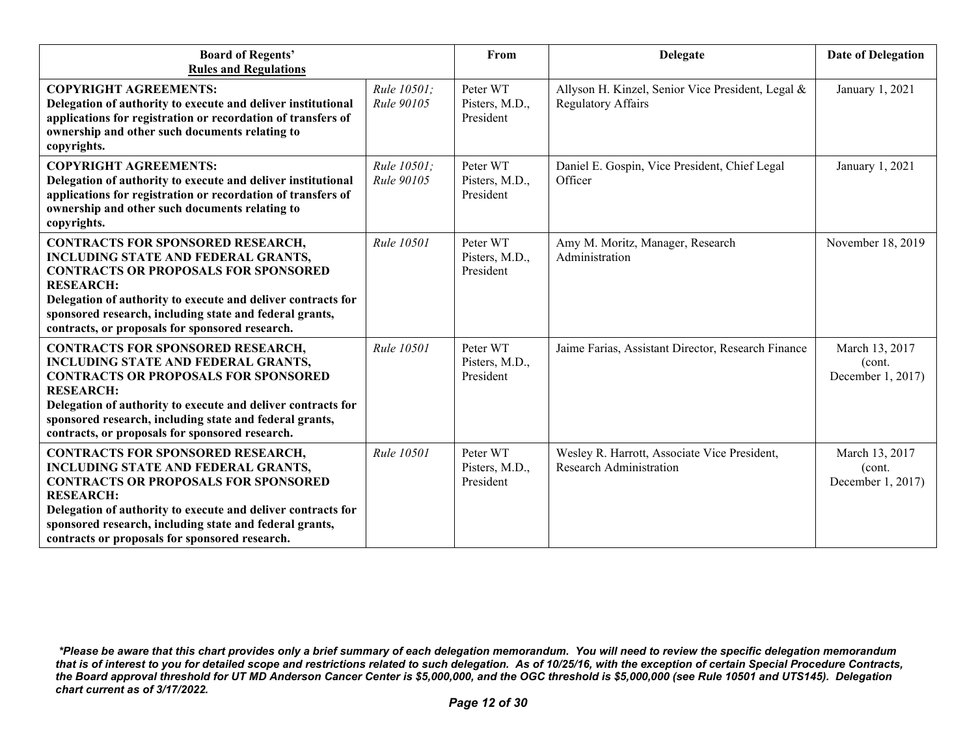| <b>Board of Regents'</b><br><b>Rules and Regulations</b>                                                                                                                                                                                                                                                                                |                           | From                                    | <b>Delegate</b>                                                                | <b>Date of Delegation</b>                      |
|-----------------------------------------------------------------------------------------------------------------------------------------------------------------------------------------------------------------------------------------------------------------------------------------------------------------------------------------|---------------------------|-----------------------------------------|--------------------------------------------------------------------------------|------------------------------------------------|
| <b>COPYRIGHT AGREEMENTS:</b><br>Delegation of authority to execute and deliver institutional<br>applications for registration or recordation of transfers of<br>ownership and other such documents relating to<br>copyrights.                                                                                                           | Rule 10501:<br>Rule 90105 | Peter WT<br>Pisters, M.D.,<br>President | Allyson H. Kinzel, Senior Vice President, Legal &<br><b>Regulatory Affairs</b> | January 1, 2021                                |
| <b>COPYRIGHT AGREEMENTS:</b><br>Delegation of authority to execute and deliver institutional<br>applications for registration or recordation of transfers of<br>ownership and other such documents relating to<br>copyrights.                                                                                                           | Rule 10501;<br>Rule 90105 | Peter WT<br>Pisters, M.D.,<br>President | Daniel E. Gospin, Vice President, Chief Legal<br>Officer                       | January 1, 2021                                |
| <b>CONTRACTS FOR SPONSORED RESEARCH,</b><br><b>INCLUDING STATE AND FEDERAL GRANTS,</b><br><b>CONTRACTS OR PROPOSALS FOR SPONSORED</b><br><b>RESEARCH:</b><br>Delegation of authority to execute and deliver contracts for<br>sponsored research, including state and federal grants,<br>contracts, or proposals for sponsored research. | Rule 10501                | Peter WT<br>Pisters, M.D.,<br>President | Amy M. Moritz, Manager, Research<br>Administration                             | November 18, 2019                              |
| <b>CONTRACTS FOR SPONSORED RESEARCH,</b><br><b>INCLUDING STATE AND FEDERAL GRANTS,</b><br><b>CONTRACTS OR PROPOSALS FOR SPONSORED</b><br><b>RESEARCH:</b><br>Delegation of authority to execute and deliver contracts for<br>sponsored research, including state and federal grants,<br>contracts, or proposals for sponsored research. | Rule 10501                | Peter WT<br>Pisters, M.D.,<br>President | Jaime Farias, Assistant Director, Research Finance                             | March 13, 2017<br>(cont.<br>December 1, 2017)  |
| <b>CONTRACTS FOR SPONSORED RESEARCH,</b><br><b>INCLUDING STATE AND FEDERAL GRANTS,</b><br><b>CONTRACTS OR PROPOSALS FOR SPONSORED</b><br><b>RESEARCH:</b><br>Delegation of authority to execute and deliver contracts for<br>sponsored research, including state and federal grants,<br>contracts or proposals for sponsored research.  | <b>Rule 10501</b>         | Peter WT<br>Pisters, M.D.,<br>President | Wesley R. Harrott, Associate Vice President,<br><b>Research Administration</b> | March 13, 2017<br>(cont.)<br>December 1, 2017) |

*<sup>\*</sup>Please be aware that this chart provides only a brief summary of each delegation memorandum. You will need to review the specific delegation memorandum that is of interest to you for detailed scope and restrictions related to such delegation. As of 10/25/16, with the exception of certain Special Procedure Contracts, the Board approval threshold for UT MD Anderson Cancer Center is \$5,000,000, and the OGC threshold is \$5,000,000 (see Rule 10501 and UTS145). Delegation chart current as of 3/17/2022.*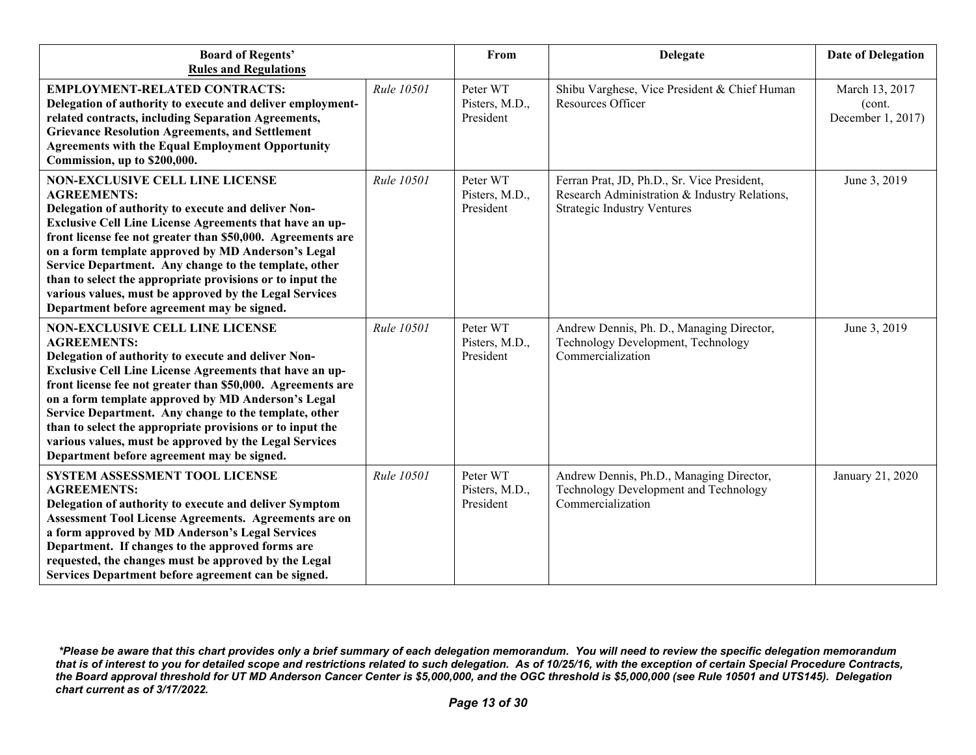| <b>Board of Regents'</b><br><b>Rules and Regulations</b>                                                                                                                                                                                                                                                                                                                                                                                                                                                                          |            | From                                    | <b>Delegate</b>                                                                                                                    | <b>Date of Delegation</b>                     |
|-----------------------------------------------------------------------------------------------------------------------------------------------------------------------------------------------------------------------------------------------------------------------------------------------------------------------------------------------------------------------------------------------------------------------------------------------------------------------------------------------------------------------------------|------------|-----------------------------------------|------------------------------------------------------------------------------------------------------------------------------------|-----------------------------------------------|
| <b>EMPLOYMENT-RELATED CONTRACTS:</b><br>Delegation of authority to execute and deliver employment-<br>related contracts, including Separation Agreements,<br><b>Grievance Resolution Agreements, and Settlement</b><br><b>Agreements with the Equal Employment Opportunity</b><br>Commission, up to \$200,000.                                                                                                                                                                                                                    | Rule 10501 | Peter WT<br>Pisters, M.D.,<br>President | Shibu Varghese, Vice President & Chief Human<br>Resources Officer                                                                  | March 13, 2017<br>(cont.<br>December 1, 2017) |
| <b>NON-EXCLUSIVE CELL LINE LICENSE</b><br><b>AGREEMENTS:</b><br>Delegation of authority to execute and deliver Non-<br>Exclusive Cell Line License Agreements that have an up-<br>front license fee not greater than \$50,000. Agreements are<br>on a form template approved by MD Anderson's Legal<br>Service Department. Any change to the template, other<br>than to select the appropriate provisions or to input the<br>various values, must be approved by the Legal Services<br>Department before agreement may be signed. | Rule 10501 | Peter WT<br>Pisters, M.D.,<br>President | Ferran Prat, JD, Ph.D., Sr. Vice President,<br>Research Administration & Industry Relations,<br><b>Strategic Industry Ventures</b> | June 3, 2019                                  |
| <b>NON-EXCLUSIVE CELL LINE LICENSE</b><br><b>AGREEMENTS:</b><br>Delegation of authority to execute and deliver Non-<br>Exclusive Cell Line License Agreements that have an up-<br>front license fee not greater than \$50,000. Agreements are<br>on a form template approved by MD Anderson's Legal<br>Service Department. Any change to the template, other<br>than to select the appropriate provisions or to input the<br>various values, must be approved by the Legal Services<br>Department before agreement may be signed. | Rule 10501 | Peter WT<br>Pisters, M.D.,<br>President | Andrew Dennis, Ph. D., Managing Director,<br>Technology Development, Technology<br>Commercialization                               | June 3, 2019                                  |
| SYSTEM ASSESSMENT TOOL LICENSE<br><b>AGREEMENTS:</b><br>Delegation of authority to execute and deliver Symptom<br><b>Assessment Tool License Agreements. Agreements are on</b><br>a form approved by MD Anderson's Legal Services<br>Department. If changes to the approved forms are<br>requested, the changes must be approved by the Legal<br>Services Department before agreement can be signed.                                                                                                                              | Rule 10501 | Peter WT<br>Pisters, M.D.,<br>President | Andrew Dennis, Ph.D., Managing Director,<br>Technology Development and Technology<br>Commercialization                             | January 21, 2020                              |

*<sup>\*</sup>Please be aware that this chart provides only a brief summary of each delegation memorandum. You will need to review the specific delegation memorandum that is of interest to you for detailed scope and restrictions related to such delegation. As of 10/25/16, with the exception of certain Special Procedure Contracts, the Board approval threshold for UT MD Anderson Cancer Center is \$5,000,000, and the OGC threshold is \$5,000,000 (see Rule 10501 and UTS145). Delegation chart current as of 3/17/2022.*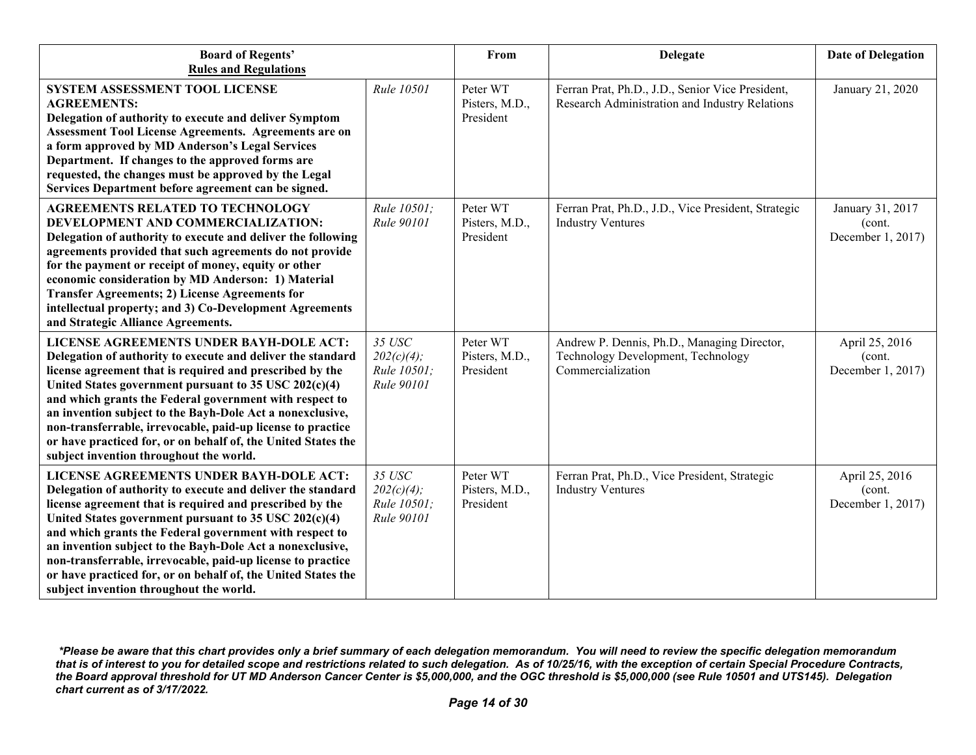| <b>Board of Regents'</b><br><b>Rules and Regulations</b>                                                                                                                                                                                                                                                                                                                                                                                                                                                                       |                                                      | From                                    | <b>Delegate</b>                                                                                        | <b>Date of Delegation</b>                       |
|--------------------------------------------------------------------------------------------------------------------------------------------------------------------------------------------------------------------------------------------------------------------------------------------------------------------------------------------------------------------------------------------------------------------------------------------------------------------------------------------------------------------------------|------------------------------------------------------|-----------------------------------------|--------------------------------------------------------------------------------------------------------|-------------------------------------------------|
| SYSTEM ASSESSMENT TOOL LICENSE<br><b>AGREEMENTS:</b><br>Delegation of authority to execute and deliver Symptom<br><b>Assessment Tool License Agreements. Agreements are on</b><br>a form approved by MD Anderson's Legal Services<br>Department. If changes to the approved forms are<br>requested, the changes must be approved by the Legal<br>Services Department before agreement can be signed.                                                                                                                           | Rule 10501                                           | Peter WT<br>Pisters, M.D.,<br>President | Ferran Prat, Ph.D., J.D., Senior Vice President,<br>Research Administration and Industry Relations     | January 21, 2020                                |
| <b>AGREEMENTS RELATED TO TECHNOLOGY</b><br>DEVELOPMENT AND COMMERCIALIZATION:<br>Delegation of authority to execute and deliver the following<br>agreements provided that such agreements do not provide<br>for the payment or receipt of money, equity or other<br>economic consideration by MD Anderson: 1) Material<br><b>Transfer Agreements; 2) License Agreements for</b><br>intellectual property; and 3) Co-Development Agreements<br>and Strategic Alliance Agreements.                                               | Rule 10501;<br>Rule 90101                            | Peter WT<br>Pisters, M.D.,<br>President | Ferran Prat, Ph.D., J.D., Vice President, Strategic<br><b>Industry Ventures</b>                        | January 31, 2017<br>(cont.<br>December 1, 2017) |
| LICENSE AGREEMENTS UNDER BAYH-DOLE ACT:<br>Delegation of authority to execute and deliver the standard<br>license agreement that is required and prescribed by the<br>United States government pursuant to 35 USC 202(c)(4)<br>and which grants the Federal government with respect to<br>an invention subject to the Bayh-Dole Act a nonexclusive,<br>non-transferrable, irrevocable, paid-up license to practice<br>or have practiced for, or on behalf of, the United States the<br>subject invention throughout the world. | 35 USC<br>$202(c)(4)$ ;<br>Rule 10501;<br>Rule 90101 | Peter WT<br>Pisters, M.D.,<br>President | Andrew P. Dennis, Ph.D., Managing Director,<br>Technology Development, Technology<br>Commercialization | April 25, 2016<br>(cont.<br>December 1, 2017)   |
| LICENSE AGREEMENTS UNDER BAYH-DOLE ACT:<br>Delegation of authority to execute and deliver the standard<br>license agreement that is required and prescribed by the<br>United States government pursuant to 35 USC 202(c)(4)<br>and which grants the Federal government with respect to<br>an invention subject to the Bayh-Dole Act a nonexclusive,<br>non-transferrable, irrevocable, paid-up license to practice<br>or have practiced for, or on behalf of, the United States the<br>subject invention throughout the world. | 35 USC<br>$202(c)(4)$ ;<br>Rule 10501;<br>Rule 90101 | Peter WT<br>Pisters, M.D.,<br>President | Ferran Prat, Ph.D., Vice President, Strategic<br><b>Industry Ventures</b>                              | April 25, 2016<br>(cont.<br>December 1, 2017)   |

*<sup>\*</sup>Please be aware that this chart provides only a brief summary of each delegation memorandum. You will need to review the specific delegation memorandum that is of interest to you for detailed scope and restrictions related to such delegation. As of 10/25/16, with the exception of certain Special Procedure Contracts, the Board approval threshold for UT MD Anderson Cancer Center is \$5,000,000, and the OGC threshold is \$5,000,000 (see Rule 10501 and UTS145). Delegation chart current as of 3/17/2022.*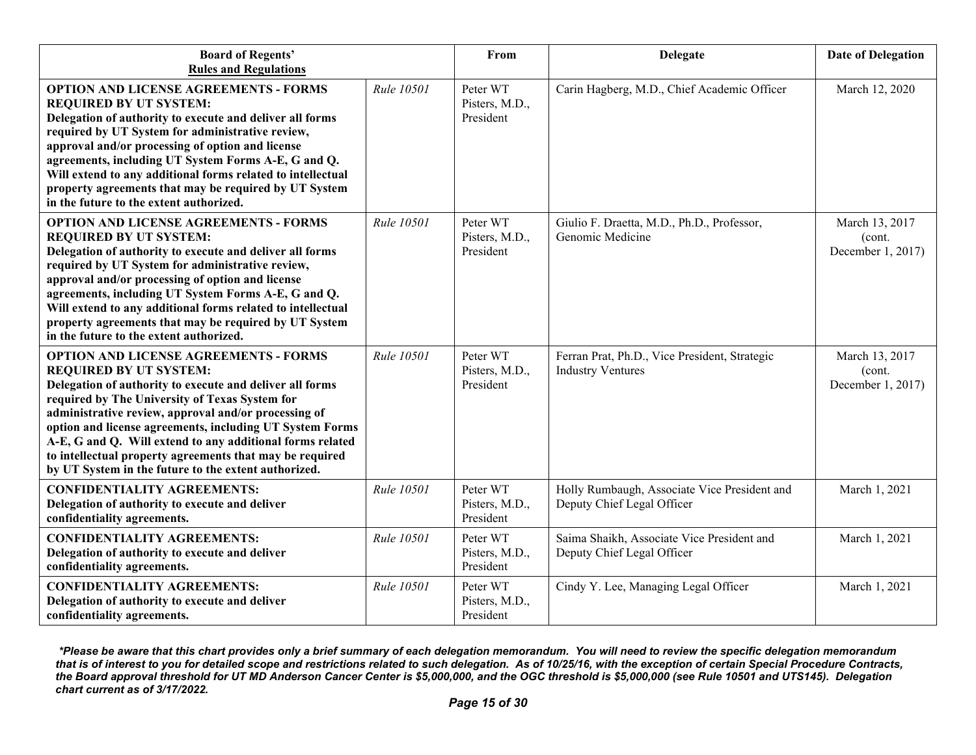| <b>Board of Regents'</b><br><b>Rules and Regulations</b>                                                                                                                                                                                                                                                                                                                                                                                                                                         |                   | From                                    | <b>Delegate</b>                                                            | <b>Date of Delegation</b>                     |
|--------------------------------------------------------------------------------------------------------------------------------------------------------------------------------------------------------------------------------------------------------------------------------------------------------------------------------------------------------------------------------------------------------------------------------------------------------------------------------------------------|-------------------|-----------------------------------------|----------------------------------------------------------------------------|-----------------------------------------------|
| <b>OPTION AND LICENSE AGREEMENTS - FORMS</b><br><b>REQUIRED BY UT SYSTEM:</b><br>Delegation of authority to execute and deliver all forms<br>required by UT System for administrative review,<br>approval and/or processing of option and license<br>agreements, including UT System Forms A-E, G and Q.<br>Will extend to any additional forms related to intellectual<br>property agreements that may be required by UT System<br>in the future to the extent authorized.                      | Rule 10501        | Peter WT<br>Pisters, M.D.,<br>President | Carin Hagberg, M.D., Chief Academic Officer                                | March 12, 2020                                |
| <b>OPTION AND LICENSE AGREEMENTS - FORMS</b><br><b>REQUIRED BY UT SYSTEM:</b><br>Delegation of authority to execute and deliver all forms<br>required by UT System for administrative review,<br>approval and/or processing of option and license<br>agreements, including UT System Forms A-E, G and Q.<br>Will extend to any additional forms related to intellectual<br>property agreements that may be required by UT System<br>in the future to the extent authorized.                      | <b>Rule 10501</b> | Peter WT<br>Pisters, M.D.,<br>President | Giulio F. Draetta, M.D., Ph.D., Professor,<br>Genomic Medicine             | March 13, 2017<br>(cont.<br>December 1, 2017) |
| <b>OPTION AND LICENSE AGREEMENTS - FORMS</b><br><b>REQUIRED BY UT SYSTEM:</b><br>Delegation of authority to execute and deliver all forms<br>required by The University of Texas System for<br>administrative review, approval and/or processing of<br>option and license agreements, including UT System Forms<br>A-E, G and Q. Will extend to any additional forms related<br>to intellectual property agreements that may be required<br>by UT System in the future to the extent authorized. | Rule 10501        | Peter WT<br>Pisters, M.D.,<br>President | Ferran Prat, Ph.D., Vice President, Strategic<br><b>Industry Ventures</b>  | March 13, 2017<br>(cont.<br>December 1, 2017) |
| <b>CONFIDENTIALITY AGREEMENTS:</b><br>Delegation of authority to execute and deliver<br>confidentiality agreements.                                                                                                                                                                                                                                                                                                                                                                              | Rule 10501        | Peter WT<br>Pisters, M.D.,<br>President | Holly Rumbaugh, Associate Vice President and<br>Deputy Chief Legal Officer | March 1, 2021                                 |
| <b>CONFIDENTIALITY AGREEMENTS:</b><br>Delegation of authority to execute and deliver<br>confidentiality agreements.                                                                                                                                                                                                                                                                                                                                                                              | Rule 10501        | Peter WT<br>Pisters, M.D.,<br>President | Saima Shaikh, Associate Vice President and<br>Deputy Chief Legal Officer   | March 1, 2021                                 |
| <b>CONFIDENTIALITY AGREEMENTS:</b><br>Delegation of authority to execute and deliver<br>confidentiality agreements.                                                                                                                                                                                                                                                                                                                                                                              | Rule 10501        | Peter WT<br>Pisters, M.D.,<br>President | Cindy Y. Lee, Managing Legal Officer                                       | March 1, 2021                                 |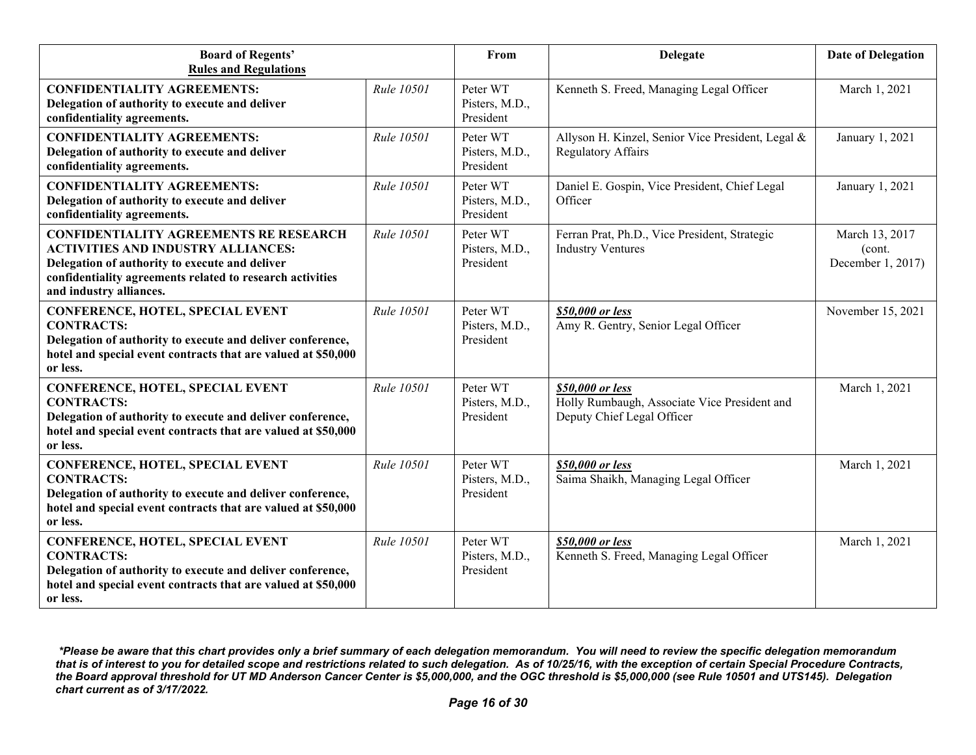| <b>Board of Regents'</b><br><b>Rules and Regulations</b>                                                                                                                                                                             |                   | From                                    | <b>Delegate</b>                                                                                | <b>Date of Delegation</b>                     |
|--------------------------------------------------------------------------------------------------------------------------------------------------------------------------------------------------------------------------------------|-------------------|-----------------------------------------|------------------------------------------------------------------------------------------------|-----------------------------------------------|
| <b>CONFIDENTIALITY AGREEMENTS:</b><br>Delegation of authority to execute and deliver<br>confidentiality agreements.                                                                                                                  | Rule 10501        | Peter WT<br>Pisters, M.D.,<br>President | Kenneth S. Freed, Managing Legal Officer                                                       | March 1, 2021                                 |
| <b>CONFIDENTIALITY AGREEMENTS:</b><br>Delegation of authority to execute and deliver<br>confidentiality agreements.                                                                                                                  | Rule 10501        | Peter WT<br>Pisters, M.D.,<br>President | Allyson H. Kinzel, Senior Vice President, Legal &<br><b>Regulatory Affairs</b>                 | January 1, 2021                               |
| <b>CONFIDENTIALITY AGREEMENTS:</b><br>Delegation of authority to execute and deliver<br>confidentiality agreements.                                                                                                                  | Rule 10501        | Peter WT<br>Pisters, M.D.,<br>President | Daniel E. Gospin, Vice President, Chief Legal<br>Officer                                       | January 1, 2021                               |
| <b>CONFIDENTIALITY AGREEMENTS RE RESEARCH</b><br><b>ACTIVITIES AND INDUSTRY ALLIANCES:</b><br>Delegation of authority to execute and deliver<br>confidentiality agreements related to research activities<br>and industry alliances. | <b>Rule 10501</b> | Peter WT<br>Pisters, M.D.,<br>President | Ferran Prat, Ph.D., Vice President, Strategic<br><b>Industry Ventures</b>                      | March 13, 2017<br>(cont.<br>December 1, 2017) |
| <b>CONFERENCE, HOTEL, SPECIAL EVENT</b><br><b>CONTRACTS:</b><br>Delegation of authority to execute and deliver conference,<br>hotel and special event contracts that are valued at \$50,000<br>or less.                              | Rule 10501        | Peter WT<br>Pisters, M.D.,<br>President | \$50,000 or less<br>Amy R. Gentry, Senior Legal Officer                                        | November 15, 2021                             |
| CONFERENCE, HOTEL, SPECIAL EVENT<br><b>CONTRACTS:</b><br>Delegation of authority to execute and deliver conference,<br>hotel and special event contracts that are valued at \$50,000<br>or less.                                     | <b>Rule 10501</b> | Peter WT<br>Pisters, M.D.,<br>President | \$50,000 or less<br>Holly Rumbaugh, Associate Vice President and<br>Deputy Chief Legal Officer | March 1, 2021                                 |
| CONFERENCE, HOTEL, SPECIAL EVENT<br><b>CONTRACTS:</b><br>Delegation of authority to execute and deliver conference,<br>hotel and special event contracts that are valued at \$50,000<br>or less.                                     | Rule 10501        | Peter WT<br>Pisters, M.D.,<br>President | \$50,000 or less<br>Saima Shaikh, Managing Legal Officer                                       | March 1, 2021                                 |
| CONFERENCE, HOTEL, SPECIAL EVENT<br><b>CONTRACTS:</b><br>Delegation of authority to execute and deliver conference,<br>hotel and special event contracts that are valued at \$50,000<br>or less.                                     | <b>Rule 10501</b> | Peter WT<br>Pisters, M.D.,<br>President | \$50,000 or less<br>Kenneth S. Freed, Managing Legal Officer                                   | March 1, 2021                                 |

*<sup>\*</sup>Please be aware that this chart provides only a brief summary of each delegation memorandum. You will need to review the specific delegation memorandum that is of interest to you for detailed scope and restrictions related to such delegation. As of 10/25/16, with the exception of certain Special Procedure Contracts, the Board approval threshold for UT MD Anderson Cancer Center is \$5,000,000, and the OGC threshold is \$5,000,000 (see Rule 10501 and UTS145). Delegation chart current as of 3/17/2022.*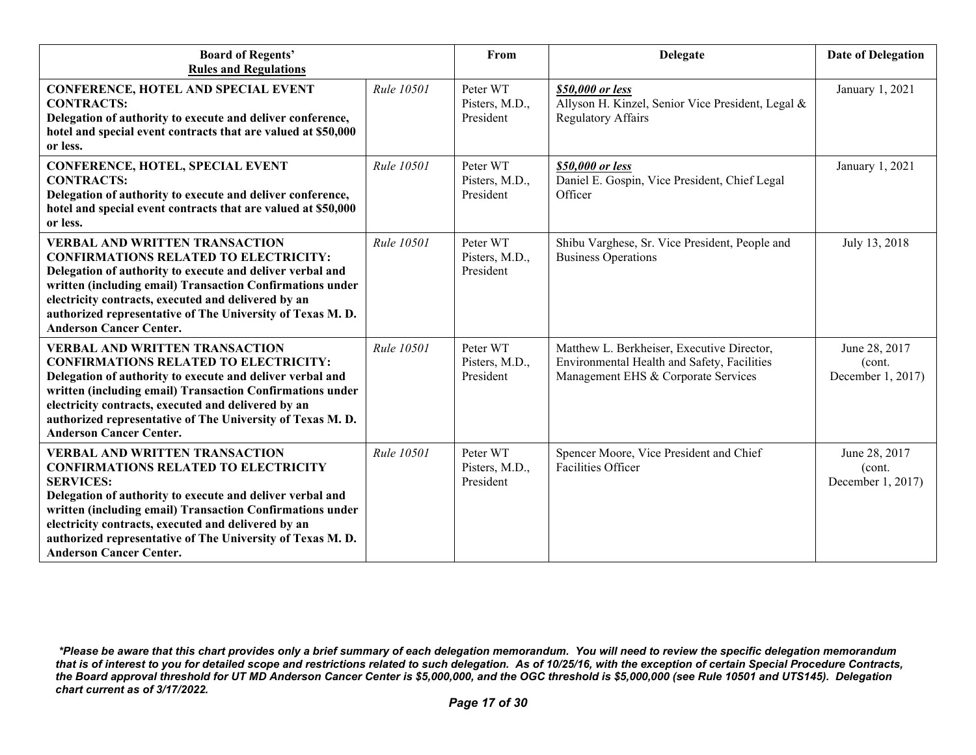| <b>Board of Regents'</b><br><b>Rules and Regulations</b>                                                                                                                                                                                                                                                                                                                                 |                   | From                                    | <b>Delegate</b>                                                                                                                  | <b>Date of Delegation</b>                    |
|------------------------------------------------------------------------------------------------------------------------------------------------------------------------------------------------------------------------------------------------------------------------------------------------------------------------------------------------------------------------------------------|-------------------|-----------------------------------------|----------------------------------------------------------------------------------------------------------------------------------|----------------------------------------------|
| <b>CONFERENCE, HOTEL AND SPECIAL EVENT</b><br><b>CONTRACTS:</b><br>Delegation of authority to execute and deliver conference,<br>hotel and special event contracts that are valued at \$50,000<br>or less.                                                                                                                                                                               | Rule 10501        | Peter WT<br>Pisters, M.D.,<br>President | \$50,000 or less<br>Allyson H. Kinzel, Senior Vice President, Legal &<br><b>Regulatory Affairs</b>                               | January 1, 2021                              |
| <b>CONFERENCE, HOTEL, SPECIAL EVENT</b><br><b>CONTRACTS:</b><br>Delegation of authority to execute and deliver conference,<br>hotel and special event contracts that are valued at \$50,000<br>or less.                                                                                                                                                                                  | Rule 10501        | Peter WT<br>Pisters, M.D.,<br>President | \$50,000 or less<br>Daniel E. Gospin, Vice President, Chief Legal<br>Officer                                                     | January 1, 2021                              |
| <b>VERBAL AND WRITTEN TRANSACTION</b><br><b>CONFIRMATIONS RELATED TO ELECTRICITY:</b><br>Delegation of authority to execute and deliver verbal and<br>written (including email) Transaction Confirmations under<br>electricity contracts, executed and delivered by an<br>authorized representative of The University of Texas M.D.<br><b>Anderson Cancer Center.</b>                    | Rule 10501        | Peter WT<br>Pisters, M.D.,<br>President | Shibu Varghese, Sr. Vice President, People and<br><b>Business Operations</b>                                                     | July 13, 2018                                |
| <b>VERBAL AND WRITTEN TRANSACTION</b><br><b>CONFIRMATIONS RELATED TO ELECTRICITY:</b><br>Delegation of authority to execute and deliver verbal and<br>written (including email) Transaction Confirmations under<br>electricity contracts, executed and delivered by an<br>authorized representative of The University of Texas M.D.<br><b>Anderson Cancer Center.</b>                    | <b>Rule 10501</b> | Peter WT<br>Pisters, M.D.,<br>President | Matthew L. Berkheiser, Executive Director,<br>Environmental Health and Safety, Facilities<br>Management EHS & Corporate Services | June 28, 2017<br>(cont.<br>December 1, 2017) |
| <b>VERBAL AND WRITTEN TRANSACTION</b><br><b>CONFIRMATIONS RELATED TO ELECTRICITY</b><br><b>SERVICES:</b><br>Delegation of authority to execute and deliver verbal and<br>written (including email) Transaction Confirmations under<br>electricity contracts, executed and delivered by an<br>authorized representative of The University of Texas M.D.<br><b>Anderson Cancer Center.</b> | Rule 10501        | Peter WT<br>Pisters, M.D.,<br>President | Spencer Moore, Vice President and Chief<br><b>Facilities Officer</b>                                                             | June 28, 2017<br>(cont.<br>December 1, 2017) |

*<sup>\*</sup>Please be aware that this chart provides only a brief summary of each delegation memorandum. You will need to review the specific delegation memorandum that is of interest to you for detailed scope and restrictions related to such delegation. As of 10/25/16, with the exception of certain Special Procedure Contracts, the Board approval threshold for UT MD Anderson Cancer Center is \$5,000,000, and the OGC threshold is \$5,000,000 (see Rule 10501 and UTS145). Delegation chart current as of 3/17/2022.*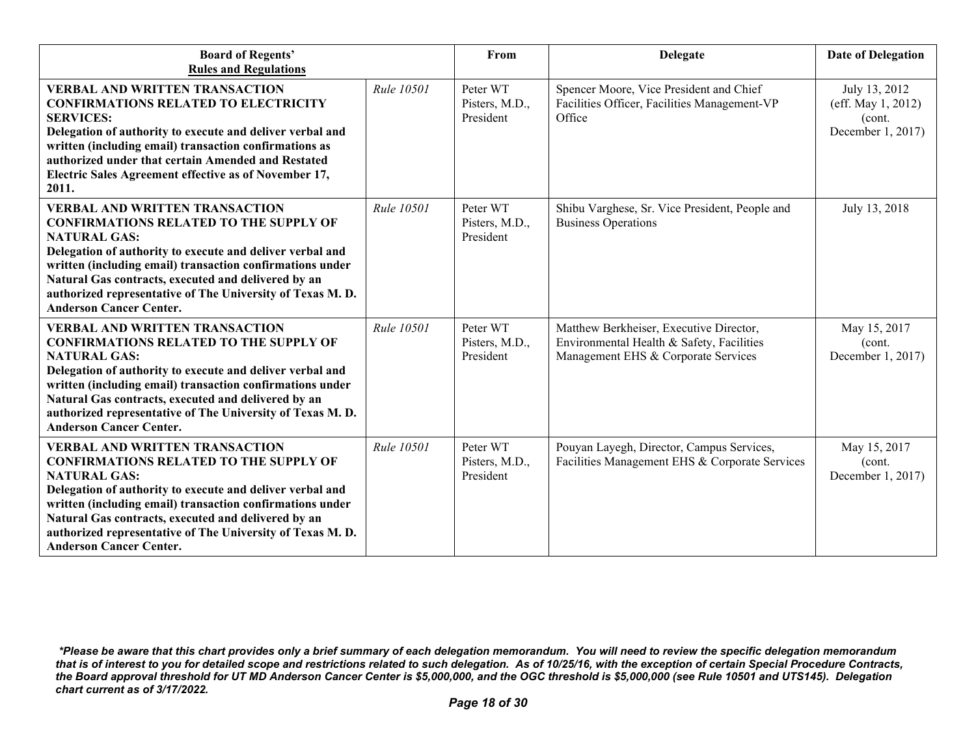| <b>Board of Regents'</b><br><b>Rules and Regulations</b>                                                                                                                                                                                                                                                                                                                                      |            | From                                    | <b>Delegate</b>                                                                                                             | <b>Date of Delegation</b>                                           |
|-----------------------------------------------------------------------------------------------------------------------------------------------------------------------------------------------------------------------------------------------------------------------------------------------------------------------------------------------------------------------------------------------|------------|-----------------------------------------|-----------------------------------------------------------------------------------------------------------------------------|---------------------------------------------------------------------|
| <b>VERBAL AND WRITTEN TRANSACTION</b><br><b>CONFIRMATIONS RELATED TO ELECTRICITY</b><br><b>SERVICES:</b><br>Delegation of authority to execute and deliver verbal and<br>written (including email) transaction confirmations as<br>authorized under that certain Amended and Restated<br>Electric Sales Agreement effective as of November 17,<br>2011.                                       | Rule 10501 | Peter WT<br>Pisters, M.D.,<br>President | Spencer Moore, Vice President and Chief<br>Facilities Officer, Facilities Management-VP<br>Office                           | July 13, 2012<br>(eff. May 1, 2012)<br>(cont.)<br>December 1, 2017) |
| <b>VERBAL AND WRITTEN TRANSACTION</b><br><b>CONFIRMATIONS RELATED TO THE SUPPLY OF</b><br><b>NATURAL GAS:</b><br>Delegation of authority to execute and deliver verbal and<br>written (including email) transaction confirmations under<br>Natural Gas contracts, executed and delivered by an<br>authorized representative of The University of Texas M.D.<br><b>Anderson Cancer Center.</b> | Rule 10501 | Peter WT<br>Pisters, M.D.,<br>President | Shibu Varghese, Sr. Vice President, People and<br><b>Business Operations</b>                                                | July 13, 2018                                                       |
| <b>VERBAL AND WRITTEN TRANSACTION</b><br><b>CONFIRMATIONS RELATED TO THE SUPPLY OF</b><br><b>NATURAL GAS:</b><br>Delegation of authority to execute and deliver verbal and<br>written (including email) transaction confirmations under<br>Natural Gas contracts, executed and delivered by an<br>authorized representative of The University of Texas M.D.<br><b>Anderson Cancer Center.</b> | Rule 10501 | Peter WT<br>Pisters, M.D.,<br>President | Matthew Berkheiser, Executive Director,<br>Environmental Health & Safety, Facilities<br>Management EHS & Corporate Services | May 15, 2017<br>(cont.)<br>December 1, 2017)                        |
| <b>VERBAL AND WRITTEN TRANSACTION</b><br><b>CONFIRMATIONS RELATED TO THE SUPPLY OF</b><br><b>NATURAL GAS:</b><br>Delegation of authority to execute and deliver verbal and<br>written (including email) transaction confirmations under<br>Natural Gas contracts, executed and delivered by an<br>authorized representative of The University of Texas M.D.<br><b>Anderson Cancer Center.</b> | Rule 10501 | Peter WT<br>Pisters, M.D.,<br>President | Pouyan Layegh, Director, Campus Services,<br>Facilities Management EHS & Corporate Services                                 | May 15, 2017<br>(cont.<br>December 1, 2017)                         |

*<sup>\*</sup>Please be aware that this chart provides only a brief summary of each delegation memorandum. You will need to review the specific delegation memorandum that is of interest to you for detailed scope and restrictions related to such delegation. As of 10/25/16, with the exception of certain Special Procedure Contracts, the Board approval threshold for UT MD Anderson Cancer Center is \$5,000,000, and the OGC threshold is \$5,000,000 (see Rule 10501 and UTS145). Delegation chart current as of 3/17/2022.*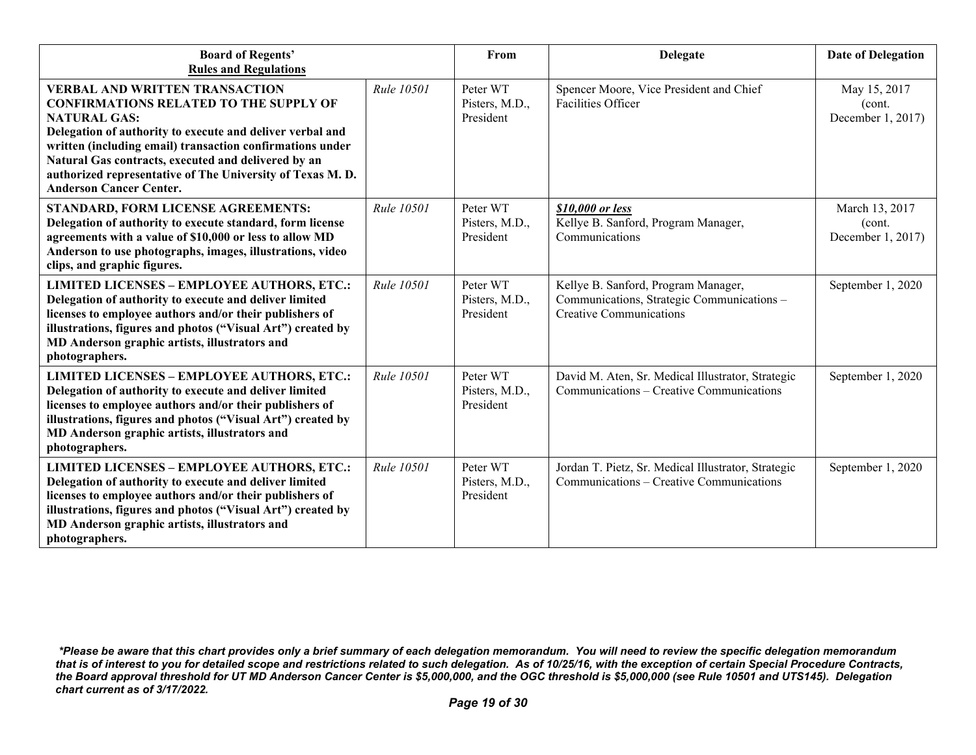| <b>Board of Regents'</b><br><b>Rules and Regulations</b>                                                                                                                                                                                                                                                                                                                                      |            | From                                    | Delegate                                                                                                            | <b>Date of Delegation</b>                      |
|-----------------------------------------------------------------------------------------------------------------------------------------------------------------------------------------------------------------------------------------------------------------------------------------------------------------------------------------------------------------------------------------------|------------|-----------------------------------------|---------------------------------------------------------------------------------------------------------------------|------------------------------------------------|
| <b>VERBAL AND WRITTEN TRANSACTION</b><br><b>CONFIRMATIONS RELATED TO THE SUPPLY OF</b><br><b>NATURAL GAS:</b><br>Delegation of authority to execute and deliver verbal and<br>written (including email) transaction confirmations under<br>Natural Gas contracts, executed and delivered by an<br>authorized representative of The University of Texas M.D.<br><b>Anderson Cancer Center.</b> | Rule 10501 | Peter WT<br>Pisters, M.D.,<br>President | Spencer Moore, Vice President and Chief<br>Facilities Officer                                                       | May 15, 2017<br>(cont.<br>December 1, 2017)    |
| STANDARD, FORM LICENSE AGREEMENTS:<br>Delegation of authority to execute standard, form license<br>agreements with a value of \$10,000 or less to allow MD<br>Anderson to use photographs, images, illustrations, video<br>clips, and graphic figures.                                                                                                                                        | Rule 10501 | Peter WT<br>Pisters, M.D.,<br>President | \$10,000 or less<br>Kellye B. Sanford, Program Manager,<br>Communications                                           | March 13, 2017<br>(cont.)<br>December 1, 2017) |
| <b>LIMITED LICENSES - EMPLOYEE AUTHORS, ETC.:</b><br>Delegation of authority to execute and deliver limited<br>licenses to employee authors and/or their publishers of<br>illustrations, figures and photos ("Visual Art") created by<br>MD Anderson graphic artists, illustrators and<br>photographers.                                                                                      | Rule 10501 | Peter WT<br>Pisters, M.D.,<br>President | Kellye B. Sanford, Program Manager,<br>Communications, Strategic Communications -<br><b>Creative Communications</b> | September 1, 2020                              |
| <b>LIMITED LICENSES - EMPLOYEE AUTHORS, ETC.:</b><br>Delegation of authority to execute and deliver limited<br>licenses to employee authors and/or their publishers of<br>illustrations, figures and photos ("Visual Art") created by<br>MD Anderson graphic artists, illustrators and<br>photographers.                                                                                      | Rule 10501 | Peter WT<br>Pisters, M.D.,<br>President | David M. Aten, Sr. Medical Illustrator, Strategic<br>Communications – Creative Communications                       | September 1, 2020                              |
| <b>LIMITED LICENSES - EMPLOYEE AUTHORS, ETC.:</b><br>Delegation of authority to execute and deliver limited<br>licenses to employee authors and/or their publishers of<br>illustrations, figures and photos ("Visual Art") created by<br>MD Anderson graphic artists, illustrators and<br>photographers.                                                                                      | Rule 10501 | Peter WT<br>Pisters, M.D.,<br>President | Jordan T. Pietz, Sr. Medical Illustrator, Strategic<br>Communications – Creative Communications                     | September 1, 2020                              |

*<sup>\*</sup>Please be aware that this chart provides only a brief summary of each delegation memorandum. You will need to review the specific delegation memorandum that is of interest to you for detailed scope and restrictions related to such delegation. As of 10/25/16, with the exception of certain Special Procedure Contracts, the Board approval threshold for UT MD Anderson Cancer Center is \$5,000,000, and the OGC threshold is \$5,000,000 (see Rule 10501 and UTS145). Delegation chart current as of 3/17/2022.*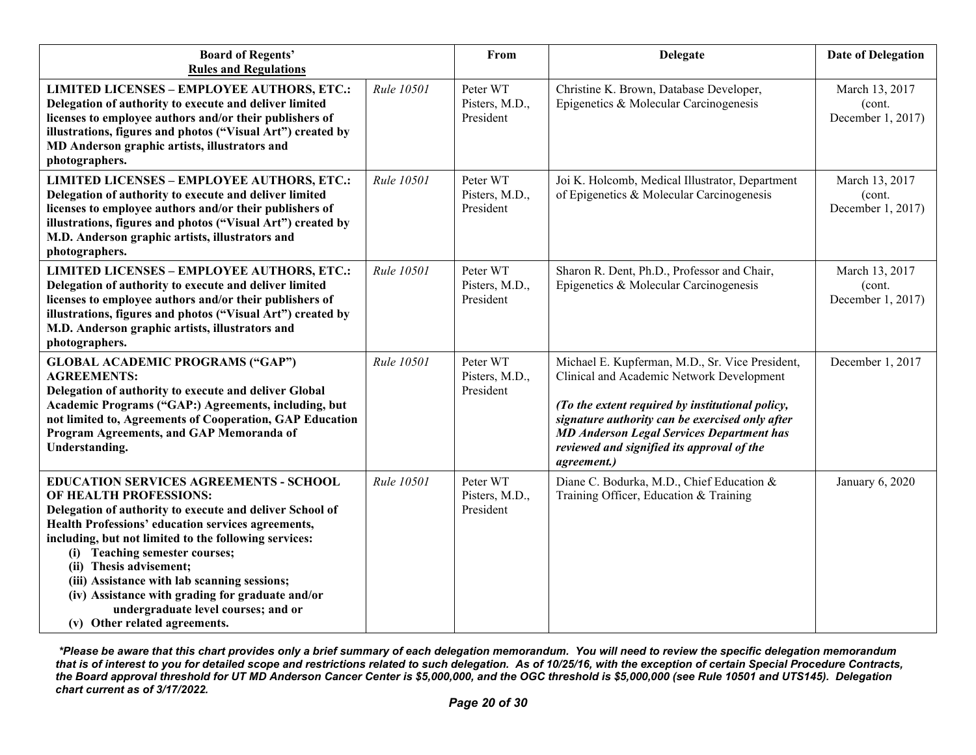| <b>Board of Regents'</b><br><b>Rules and Regulations</b>                                                                                                                                                                                                                                                                                                                                                                                                                                    |            | From                                    | <b>Delegate</b>                                                                                                                                                                                                                                                                                                      | <b>Date of Delegation</b>                      |
|---------------------------------------------------------------------------------------------------------------------------------------------------------------------------------------------------------------------------------------------------------------------------------------------------------------------------------------------------------------------------------------------------------------------------------------------------------------------------------------------|------------|-----------------------------------------|----------------------------------------------------------------------------------------------------------------------------------------------------------------------------------------------------------------------------------------------------------------------------------------------------------------------|------------------------------------------------|
| <b>LIMITED LICENSES - EMPLOYEE AUTHORS, ETC.:</b><br>Delegation of authority to execute and deliver limited<br>licenses to employee authors and/or their publishers of<br>illustrations, figures and photos ("Visual Art") created by<br>MD Anderson graphic artists, illustrators and<br>photographers.                                                                                                                                                                                    | Rule 10501 | Peter WT<br>Pisters, M.D.,<br>President | Christine K. Brown, Database Developer,<br>Epigenetics & Molecular Carcinogenesis                                                                                                                                                                                                                                    | March 13, 2017<br>(cont.<br>December 1, 2017)  |
| <b>LIMITED LICENSES - EMPLOYEE AUTHORS, ETC.:</b><br>Delegation of authority to execute and deliver limited<br>licenses to employee authors and/or their publishers of<br>illustrations, figures and photos ("Visual Art") created by<br>M.D. Anderson graphic artists, illustrators and<br>photographers.                                                                                                                                                                                  | Rule 10501 | Peter WT<br>Pisters, M.D.,<br>President | Joi K. Holcomb, Medical Illustrator, Department<br>of Epigenetics & Molecular Carcinogenesis                                                                                                                                                                                                                         | March 13, 2017<br>(cont.)<br>December 1, 2017) |
| <b>LIMITED LICENSES - EMPLOYEE AUTHORS, ETC.:</b><br>Delegation of authority to execute and deliver limited<br>licenses to employee authors and/or their publishers of<br>illustrations, figures and photos ("Visual Art") created by<br>M.D. Anderson graphic artists, illustrators and<br>photographers.                                                                                                                                                                                  | Rule 10501 | Peter WT<br>Pisters, M.D.,<br>President | Sharon R. Dent, Ph.D., Professor and Chair,<br>Epigenetics & Molecular Carcinogenesis                                                                                                                                                                                                                                | March 13, 2017<br>(cont.<br>December 1, 2017)  |
| <b>GLOBAL ACADEMIC PROGRAMS ("GAP")</b><br><b>AGREEMENTS:</b><br>Delegation of authority to execute and deliver Global<br><b>Academic Programs ("GAP:) Agreements, including, but</b><br>not limited to, Agreements of Cooperation, GAP Education<br>Program Agreements, and GAP Memoranda of<br>Understanding.                                                                                                                                                                             | Rule 10501 | Peter WT<br>Pisters, M.D.,<br>President | Michael E. Kupferman, M.D., Sr. Vice President,<br>Clinical and Academic Network Development<br>(To the extent required by institutional policy,<br>signature authority can be exercised only after<br><b>MD Anderson Legal Services Department has</b><br>reviewed and signified its approval of the<br>agreement.) | December 1, 2017                               |
| <b>EDUCATION SERVICES AGREEMENTS - SCHOOL</b><br>OF HEALTH PROFESSIONS:<br>Delegation of authority to execute and deliver School of<br>Health Professions' education services agreements,<br>including, but not limited to the following services:<br>(i) Teaching semester courses;<br>(ii) Thesis advisement;<br>(iii) Assistance with lab scanning sessions;<br>(iv) Assistance with grading for graduate and/or<br>undergraduate level courses; and or<br>(v) Other related agreements. | Rule 10501 | Peter WT<br>Pisters, M.D.,<br>President | Diane C. Bodurka, M.D., Chief Education &<br>Training Officer, Education & Training                                                                                                                                                                                                                                  | January 6, 2020                                |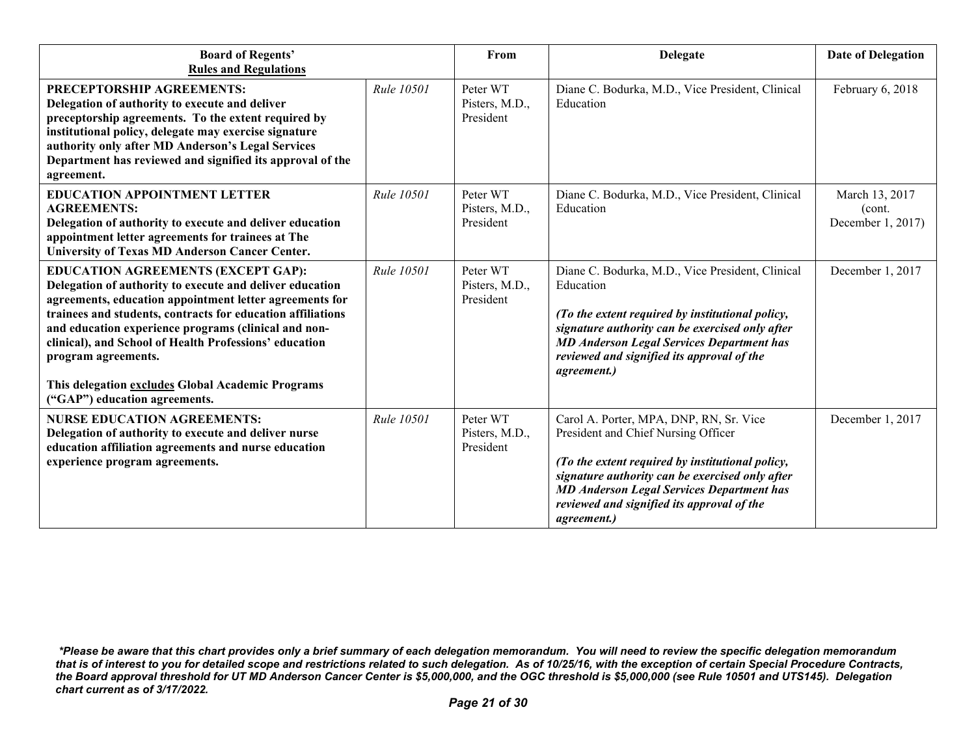| <b>Board of Regents'</b><br><b>Rules and Regulations</b>                                                                                                                                                                                                                                                                                                                                                                                                       |                   | From                                    | <b>Delegate</b>                                                                                                                                                                                                                                                                                               | <b>Date of Delegation</b>                      |
|----------------------------------------------------------------------------------------------------------------------------------------------------------------------------------------------------------------------------------------------------------------------------------------------------------------------------------------------------------------------------------------------------------------------------------------------------------------|-------------------|-----------------------------------------|---------------------------------------------------------------------------------------------------------------------------------------------------------------------------------------------------------------------------------------------------------------------------------------------------------------|------------------------------------------------|
| PRECEPTORSHIP AGREEMENTS:<br>Delegation of authority to execute and deliver<br>preceptorship agreements. To the extent required by<br>institutional policy, delegate may exercise signature<br>authority only after MD Anderson's Legal Services<br>Department has reviewed and signified its approval of the<br>agreement.                                                                                                                                    | <b>Rule 10501</b> | Peter WT<br>Pisters, M.D.,<br>President | Diane C. Bodurka, M.D., Vice President, Clinical<br>Education                                                                                                                                                                                                                                                 | February 6, 2018                               |
| <b>EDUCATION APPOINTMENT LETTER</b><br><b>AGREEMENTS:</b><br>Delegation of authority to execute and deliver education<br>appointment letter agreements for trainees at The<br><b>University of Texas MD Anderson Cancer Center.</b>                                                                                                                                                                                                                            | <b>Rule 10501</b> | Peter WT<br>Pisters, M.D.,<br>President | Diane C. Bodurka, M.D., Vice President, Clinical<br>Education                                                                                                                                                                                                                                                 | March 13, 2017<br>(cont.)<br>December 1, 2017) |
| <b>EDUCATION AGREEMENTS (EXCEPT GAP):</b><br>Delegation of authority to execute and deliver education<br>agreements, education appointment letter agreements for<br>trainees and students, contracts for education affiliations<br>and education experience programs (clinical and non-<br>clinical), and School of Health Professions' education<br>program agreements.<br>This delegation excludes Global Academic Programs<br>("GAP") education agreements. | <b>Rule 10501</b> | Peter WT<br>Pisters, M.D.,<br>President | Diane C. Bodurka, M.D., Vice President, Clinical<br>Education<br>(To the extent required by institutional policy,<br>signature authority can be exercised only after<br><b>MD Anderson Legal Services Department has</b><br>reviewed and signified its approval of the<br>agreement.)                         | December 1, 2017                               |
| <b>NURSE EDUCATION AGREEMENTS:</b><br>Delegation of authority to execute and deliver nurse<br>education affiliation agreements and nurse education<br>experience program agreements.                                                                                                                                                                                                                                                                           | <b>Rule 10501</b> | Peter WT<br>Pisters, M.D.,<br>President | Carol A. Porter, MPA, DNP, RN, Sr. Vice<br>President and Chief Nursing Officer<br>(To the extent required by institutional policy,<br>signature authority can be exercised only after<br><b>MD Anderson Legal Services Department has</b><br>reviewed and signified its approval of the<br><i>agreement.)</i> | December 1, 2017                               |

*<sup>\*</sup>Please be aware that this chart provides only a brief summary of each delegation memorandum. You will need to review the specific delegation memorandum that is of interest to you for detailed scope and restrictions related to such delegation. As of 10/25/16, with the exception of certain Special Procedure Contracts, the Board approval threshold for UT MD Anderson Cancer Center is \$5,000,000, and the OGC threshold is \$5,000,000 (see Rule 10501 and UTS145). Delegation chart current as of 3/17/2022.*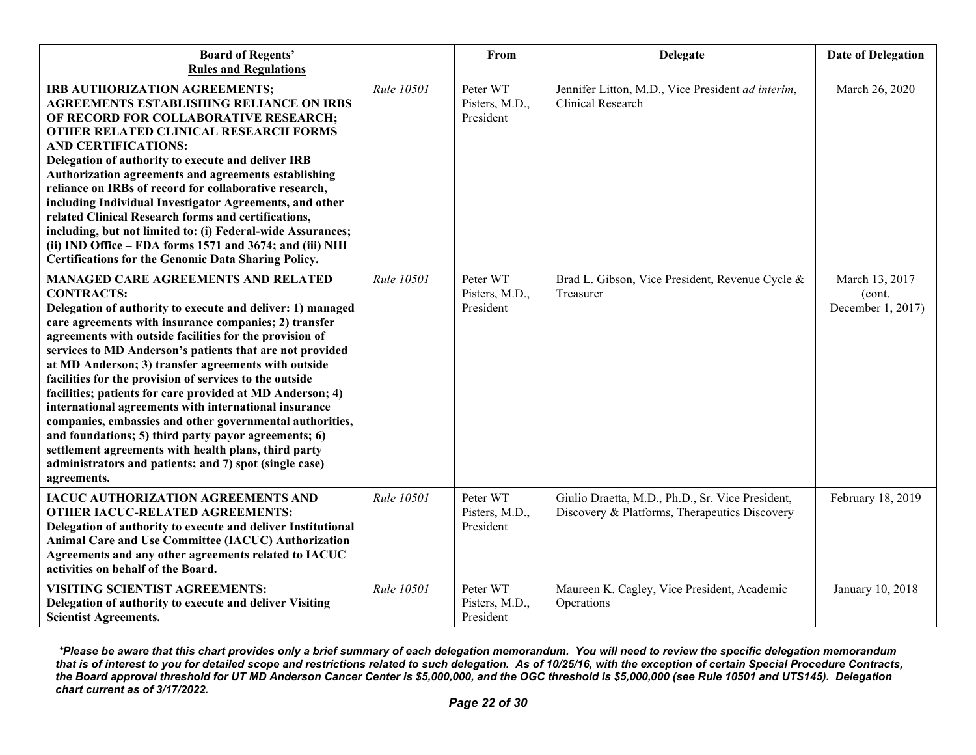| <b>Board of Regents'</b><br><b>Rules and Regulations</b>                                                                                                                                                                                                                                                                                                                                                                                                                                                                                                                                                                                                                                                                                                                                                   |            | From                                    | <b>Delegate</b>                                                                                   | <b>Date of Delegation</b>                     |
|------------------------------------------------------------------------------------------------------------------------------------------------------------------------------------------------------------------------------------------------------------------------------------------------------------------------------------------------------------------------------------------------------------------------------------------------------------------------------------------------------------------------------------------------------------------------------------------------------------------------------------------------------------------------------------------------------------------------------------------------------------------------------------------------------------|------------|-----------------------------------------|---------------------------------------------------------------------------------------------------|-----------------------------------------------|
| IRB AUTHORIZATION AGREEMENTS;<br><b>AGREEMENTS ESTABLISHING RELIANCE ON IRBS</b><br>OF RECORD FOR COLLABORATIVE RESEARCH;<br>OTHER RELATED CLINICAL RESEARCH FORMS<br><b>AND CERTIFICATIONS:</b><br>Delegation of authority to execute and deliver IRB<br>Authorization agreements and agreements establishing<br>reliance on IRBs of record for collaborative research,<br>including Individual Investigator Agreements, and other<br>related Clinical Research forms and certifications,<br>including, but not limited to: (i) Federal-wide Assurances;<br>(ii) IND Office - FDA forms 1571 and 3674; and (iii) NIH<br>Certifications for the Genomic Data Sharing Policy.                                                                                                                               | Rule 10501 | Peter WT<br>Pisters, M.D.,<br>President | Jennifer Litton, M.D., Vice President ad interim,<br>Clinical Research                            | March 26, 2020                                |
| <b>MANAGED CARE AGREEMENTS AND RELATED</b><br><b>CONTRACTS:</b><br>Delegation of authority to execute and deliver: 1) managed<br>care agreements with insurance companies; 2) transfer<br>agreements with outside facilities for the provision of<br>services to MD Anderson's patients that are not provided<br>at MD Anderson; 3) transfer agreements with outside<br>facilities for the provision of services to the outside<br>facilities; patients for care provided at MD Anderson; 4)<br>international agreements with international insurance<br>companies, embassies and other governmental authorities,<br>and foundations; 5) third party payor agreements; 6)<br>settlement agreements with health plans, third party<br>administrators and patients; and 7) spot (single case)<br>agreements. | Rule 10501 | Peter WT<br>Pisters, M.D.,<br>President | Brad L. Gibson, Vice President, Revenue Cycle &<br>Treasurer                                      | March 13, 2017<br>(cont.<br>December 1, 2017) |
| IACUC AUTHORIZATION AGREEMENTS AND<br><b>OTHER IACUC-RELATED AGREEMENTS:</b><br>Delegation of authority to execute and deliver Institutional<br>Animal Care and Use Committee (IACUC) Authorization<br>Agreements and any other agreements related to IACUC<br>activities on behalf of the Board.                                                                                                                                                                                                                                                                                                                                                                                                                                                                                                          | Rule 10501 | Peter WT<br>Pisters, M.D.,<br>President | Giulio Draetta, M.D., Ph.D., Sr. Vice President,<br>Discovery & Platforms, Therapeutics Discovery | February 18, 2019                             |
| VISITING SCIENTIST AGREEMENTS:<br>Delegation of authority to execute and deliver Visiting<br><b>Scientist Agreements.</b>                                                                                                                                                                                                                                                                                                                                                                                                                                                                                                                                                                                                                                                                                  | Rule 10501 | Peter WT<br>Pisters, M.D.,<br>President | Maureen K. Cagley, Vice President, Academic<br>Operations                                         | January 10, 2018                              |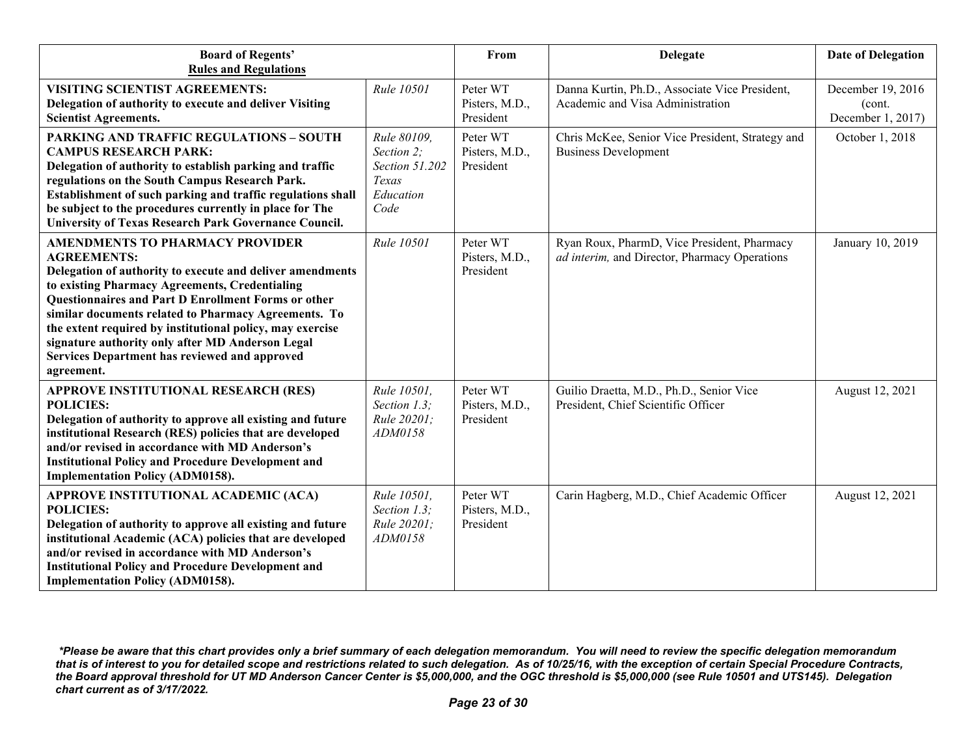| <b>Board of Regents'</b><br><b>Rules and Regulations</b>                                                                                                                                                                                                                                                                                                                                                                                                                          |                                                                           | From                                    | Delegate                                                                                     | <b>Date of Delegation</b>                         |
|-----------------------------------------------------------------------------------------------------------------------------------------------------------------------------------------------------------------------------------------------------------------------------------------------------------------------------------------------------------------------------------------------------------------------------------------------------------------------------------|---------------------------------------------------------------------------|-----------------------------------------|----------------------------------------------------------------------------------------------|---------------------------------------------------|
| <b>VISITING SCIENTIST AGREEMENTS:</b><br>Delegation of authority to execute and deliver Visiting<br><b>Scientist Agreements.</b>                                                                                                                                                                                                                                                                                                                                                  | Rule 10501                                                                | Peter WT<br>Pisters, M.D.,<br>President | Danna Kurtin, Ph.D., Associate Vice President,<br>Academic and Visa Administration           | December 19, 2016<br>(cont.)<br>December 1, 2017) |
| <b>PARKING AND TRAFFIC REGULATIONS - SOUTH</b><br><b>CAMPUS RESEARCH PARK:</b><br>Delegation of authority to establish parking and traffic<br>regulations on the South Campus Research Park.<br>Establishment of such parking and traffic regulations shall<br>be subject to the procedures currently in place for The<br>University of Texas Research Park Governance Council.                                                                                                   | Rule 80109,<br>Section 2;<br>Section 51.202<br>Texas<br>Education<br>Code | Peter WT<br>Pisters, M.D.,<br>President | Chris McKee, Senior Vice President, Strategy and<br><b>Business Development</b>              | October 1, 2018                                   |
| <b>AMENDMENTS TO PHARMACY PROVIDER</b><br><b>AGREEMENTS:</b><br>Delegation of authority to execute and deliver amendments<br>to existing Pharmacy Agreements, Credentialing<br><b>Questionnaires and Part D Enrollment Forms or other</b><br>similar documents related to Pharmacy Agreements. To<br>the extent required by institutional policy, may exercise<br>signature authority only after MD Anderson Legal<br>Services Department has reviewed and approved<br>agreement. | Rule 10501                                                                | Peter WT<br>Pisters, M.D.,<br>President | Ryan Roux, PharmD, Vice President, Pharmacy<br>ad interim, and Director, Pharmacy Operations | January 10, 2019                                  |
| <b>APPROVE INSTITUTIONAL RESEARCH (RES)</b><br><b>POLICIES:</b><br>Delegation of authority to approve all existing and future<br>institutional Research (RES) policies that are developed<br>and/or revised in accordance with MD Anderson's<br><b>Institutional Policy and Procedure Development and</b><br><b>Implementation Policy (ADM0158).</b>                                                                                                                              | Rule 10501,<br>Section 1.3;<br>Rule 20201;<br>ADM0158                     | Peter WT<br>Pisters, M.D.,<br>President | Guilio Draetta, M.D., Ph.D., Senior Vice<br>President, Chief Scientific Officer              | August 12, 2021                                   |
| APPROVE INSTITUTIONAL ACADEMIC (ACA)<br><b>POLICIES:</b><br>Delegation of authority to approve all existing and future<br>institutional Academic (ACA) policies that are developed<br>and/or revised in accordance with MD Anderson's<br><b>Institutional Policy and Procedure Development and</b><br><b>Implementation Policy (ADM0158).</b>                                                                                                                                     | Rule 10501,<br>Section 1.3;<br>Rule 20201;<br>ADM0158                     | Peter WT<br>Pisters, M.D.,<br>President | Carin Hagberg, M.D., Chief Academic Officer                                                  | August 12, 2021                                   |

*<sup>\*</sup>Please be aware that this chart provides only a brief summary of each delegation memorandum. You will need to review the specific delegation memorandum that is of interest to you for detailed scope and restrictions related to such delegation. As of 10/25/16, with the exception of certain Special Procedure Contracts, the Board approval threshold for UT MD Anderson Cancer Center is \$5,000,000, and the OGC threshold is \$5,000,000 (see Rule 10501 and UTS145). Delegation chart current as of 3/17/2022.*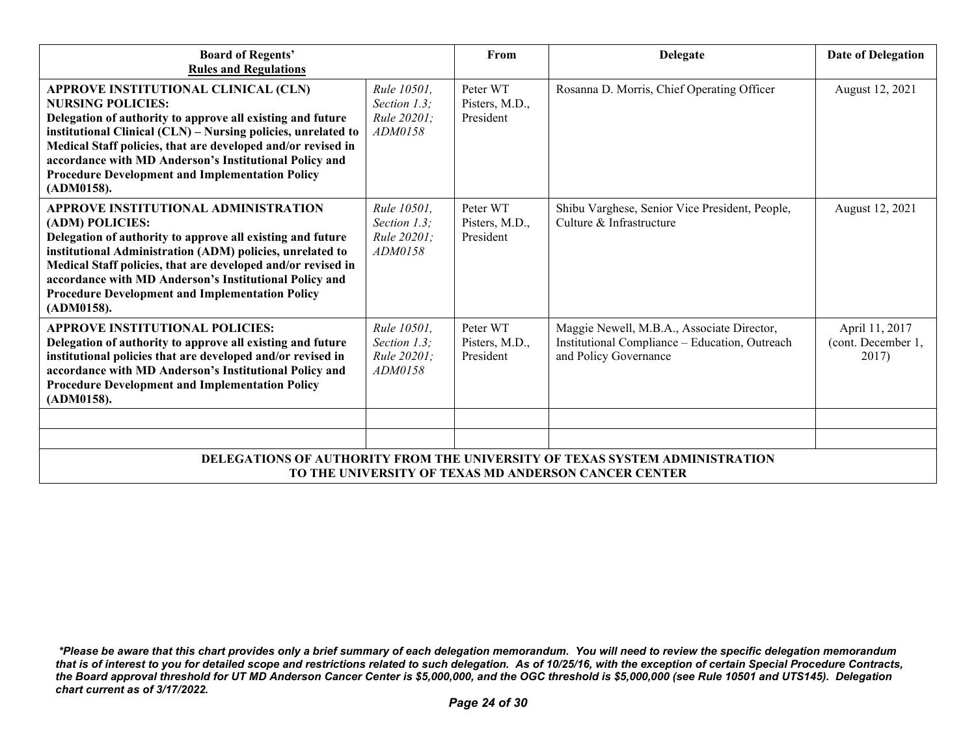| <b>Board of Regents'</b><br><b>Rules and Regulations</b>                                                                                                                                                                                                                                                                                                                                          |                                                                 | From                                    | <b>Delegate</b>                                                                                                       | <b>Date of Delegation</b>                     |  |
|---------------------------------------------------------------------------------------------------------------------------------------------------------------------------------------------------------------------------------------------------------------------------------------------------------------------------------------------------------------------------------------------------|-----------------------------------------------------------------|-----------------------------------------|-----------------------------------------------------------------------------------------------------------------------|-----------------------------------------------|--|
| APPROVE INSTITUTIONAL CLINICAL (CLN)<br><b>NURSING POLICIES:</b><br>Delegation of authority to approve all existing and future<br>institutional Clinical (CLN) - Nursing policies, unrelated to<br>Medical Staff policies, that are developed and/or revised in<br>accordance with MD Anderson's Institutional Policy and<br><b>Procedure Development and Implementation Policy</b><br>(ADM0158). | Rule 10501.<br>Section 1.3;<br>Rule 20201;<br>ADM0158           | Peter WT<br>Pisters, M.D.,<br>President | Rosanna D. Morris, Chief Operating Officer                                                                            | August 12, 2021                               |  |
| APPROVE INSTITUTIONAL ADMINISTRATION<br>(ADM) POLICIES:<br>Delegation of authority to approve all existing and future<br>institutional Administration (ADM) policies, unrelated to<br>Medical Staff policies, that are developed and/or revised in<br>accordance with MD Anderson's Institutional Policy and<br><b>Procedure Development and Implementation Policy</b><br>(ADM0158).              | Rule 10501,<br>Section 1.3:<br><i>Rule 20201:</i><br>ADM0158    | Peter WT<br>Pisters, M.D.,<br>President | Shibu Varghese, Senior Vice President, People,<br>Culture & Infrastructure                                            | August 12, 2021                               |  |
| <b>APPROVE INSTITUTIONAL POLICIES:</b><br>Delegation of authority to approve all existing and future<br>institutional policies that are developed and/or revised in<br>accordance with MD Anderson's Institutional Policy and<br><b>Procedure Development and Implementation Policy</b><br>(ADM0158).                                                                                             | Rule 10501.<br>Section $1.3$ ;<br><i>Rule 20201:</i><br>ADM0158 | Peter WT<br>Pisters, M.D.,<br>President | Maggie Newell, M.B.A., Associate Director,<br>Institutional Compliance - Education, Outreach<br>and Policy Governance | April 11, 2017<br>(cont. December 1,<br>2017) |  |
| DELEGATIONS OF AUTHORITY FROM THE UNIVERSITY OF TEXAS SYSTEM ADMINISTRATION<br>TO THE UNIVERSITY OF TEXAS MD ANDERSON CANCER CENTER                                                                                                                                                                                                                                                               |                                                                 |                                         |                                                                                                                       |                                               |  |

*<sup>\*</sup>Please be aware that this chart provides only a brief summary of each delegation memorandum. You will need to review the specific delegation memorandum that is of interest to you for detailed scope and restrictions related to such delegation. As of 10/25/16, with the exception of certain Special Procedure Contracts, the Board approval threshold for UT MD Anderson Cancer Center is \$5,000,000, and the OGC threshold is \$5,000,000 (see Rule 10501 and UTS145). Delegation chart current as of 3/17/2022.*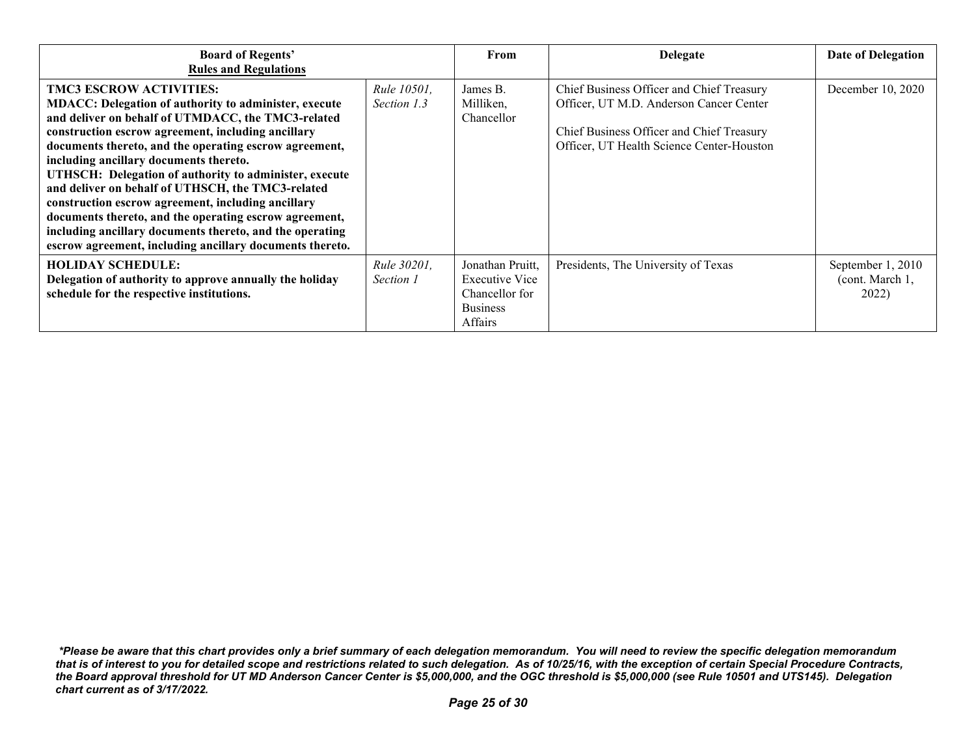| <b>Board of Regents'</b><br><b>Rules and Regulations</b>                                                                                                                                                                                                                                                                                                                                                                                                                                                                                                                                                                                                              |                                   | From                                                                               | Delegate                                                                                                                                                                       | <b>Date of Delegation</b>                     |
|-----------------------------------------------------------------------------------------------------------------------------------------------------------------------------------------------------------------------------------------------------------------------------------------------------------------------------------------------------------------------------------------------------------------------------------------------------------------------------------------------------------------------------------------------------------------------------------------------------------------------------------------------------------------------|-----------------------------------|------------------------------------------------------------------------------------|--------------------------------------------------------------------------------------------------------------------------------------------------------------------------------|-----------------------------------------------|
| <b>TMC3 ESCROW ACTIVITIES:</b><br><b>MDACC: Delegation of authority to administer, execute</b><br>and deliver on behalf of UTMDACC, the TMC3-related<br>construction escrow agreement, including ancillary<br>documents thereto, and the operating escrow agreement,<br>including ancillary documents thereto.<br>UTHSCH: Delegation of authority to administer, execute<br>and deliver on behalf of UTHSCH, the TMC3-related<br>construction escrow agreement, including ancillary<br>documents thereto, and the operating escrow agreement,<br>including ancillary documents thereto, and the operating<br>escrow agreement, including ancillary documents thereto. | <i>Rule 10501.</i><br>Section 1.3 | James B.<br>Milliken,<br>Chancellor                                                | Chief Business Officer and Chief Treasury<br>Officer, UT M.D. Anderson Cancer Center<br>Chief Business Officer and Chief Treasury<br>Officer, UT Health Science Center-Houston | December 10, 2020                             |
| <b>HOLIDAY SCHEDULE:</b><br>Delegation of authority to approve annually the holiday<br>schedule for the respective institutions.                                                                                                                                                                                                                                                                                                                                                                                                                                                                                                                                      | <i>Rule 30201,</i><br>Section 1   | Jonathan Pruitt,<br>Executive Vice<br>Chancellor for<br><b>Business</b><br>Affairs | Presidents, The University of Texas                                                                                                                                            | September 1, 2010<br>(cont. March 1,<br>2022) |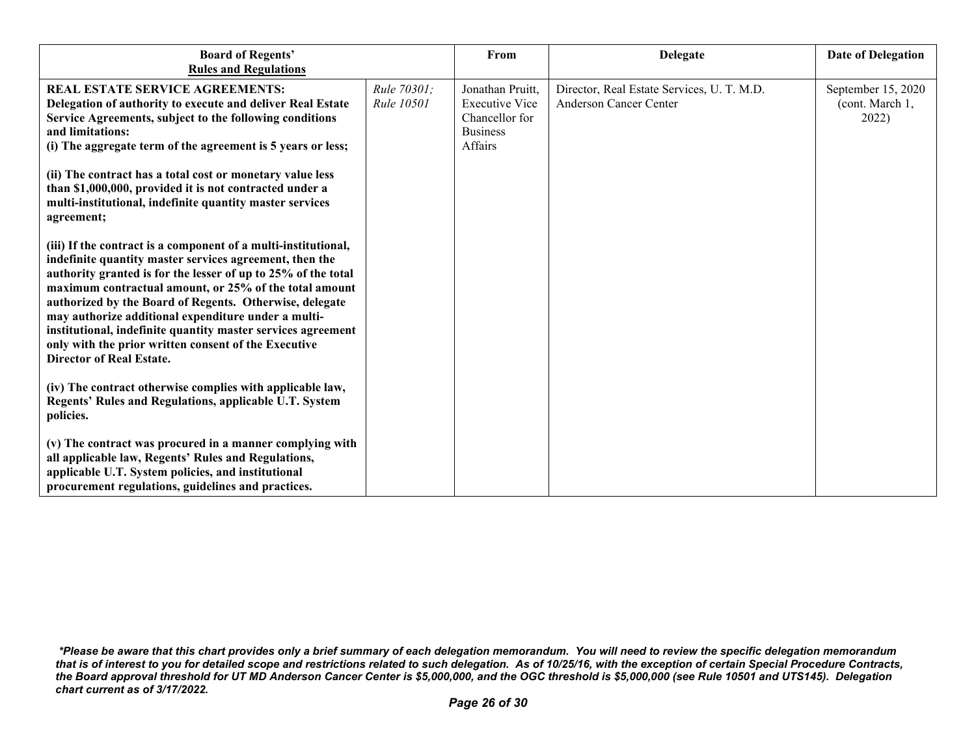| <b>Board of Regents'</b><br><b>Rules and Regulations</b>                                                                                                                                                                                                                                                                                                                                                                                                                                                                          |                                  | From                                                                                      | <b>Delegate</b>                                                      | <b>Date of Delegation</b>                      |
|-----------------------------------------------------------------------------------------------------------------------------------------------------------------------------------------------------------------------------------------------------------------------------------------------------------------------------------------------------------------------------------------------------------------------------------------------------------------------------------------------------------------------------------|----------------------------------|-------------------------------------------------------------------------------------------|----------------------------------------------------------------------|------------------------------------------------|
| <b>REAL ESTATE SERVICE AGREEMENTS:</b><br>Delegation of authority to execute and deliver Real Estate<br>Service Agreements, subject to the following conditions<br>and limitations:<br>(i) The aggregate term of the agreement is 5 years or less;                                                                                                                                                                                                                                                                                | Rule 70301;<br><i>Rule 10501</i> | Jonathan Pruitt,<br><b>Executive Vice</b><br>Chancellor for<br><b>Business</b><br>Affairs | Director, Real Estate Services, U. T. M.D.<br>Anderson Cancer Center | September 15, 2020<br>(cont. March 1,<br>2022) |
| (ii) The contract has a total cost or monetary value less<br>than \$1,000,000, provided it is not contracted under a<br>multi-institutional, indefinite quantity master services<br>agreement;                                                                                                                                                                                                                                                                                                                                    |                                  |                                                                                           |                                                                      |                                                |
| (iii) If the contract is a component of a multi-institutional,<br>indefinite quantity master services agreement, then the<br>authority granted is for the lesser of up to 25% of the total<br>maximum contractual amount, or 25% of the total amount<br>authorized by the Board of Regents. Otherwise, delegate<br>may authorize additional expenditure under a multi-<br>institutional, indefinite quantity master services agreement<br>only with the prior written consent of the Executive<br><b>Director of Real Estate.</b> |                                  |                                                                                           |                                                                      |                                                |
| (iv) The contract otherwise complies with applicable law,<br>Regents' Rules and Regulations, applicable U.T. System<br>policies.                                                                                                                                                                                                                                                                                                                                                                                                  |                                  |                                                                                           |                                                                      |                                                |
| (v) The contract was procured in a manner complying with<br>all applicable law, Regents' Rules and Regulations,<br>applicable U.T. System policies, and institutional<br>procurement regulations, guidelines and practices.                                                                                                                                                                                                                                                                                                       |                                  |                                                                                           |                                                                      |                                                |

*<sup>\*</sup>Please be aware that this chart provides only a brief summary of each delegation memorandum. You will need to review the specific delegation memorandum that is of interest to you for detailed scope and restrictions related to such delegation. As of 10/25/16, with the exception of certain Special Procedure Contracts, the Board approval threshold for UT MD Anderson Cancer Center is \$5,000,000, and the OGC threshold is \$5,000,000 (see Rule 10501 and UTS145). Delegation chart current as of 3/17/2022.*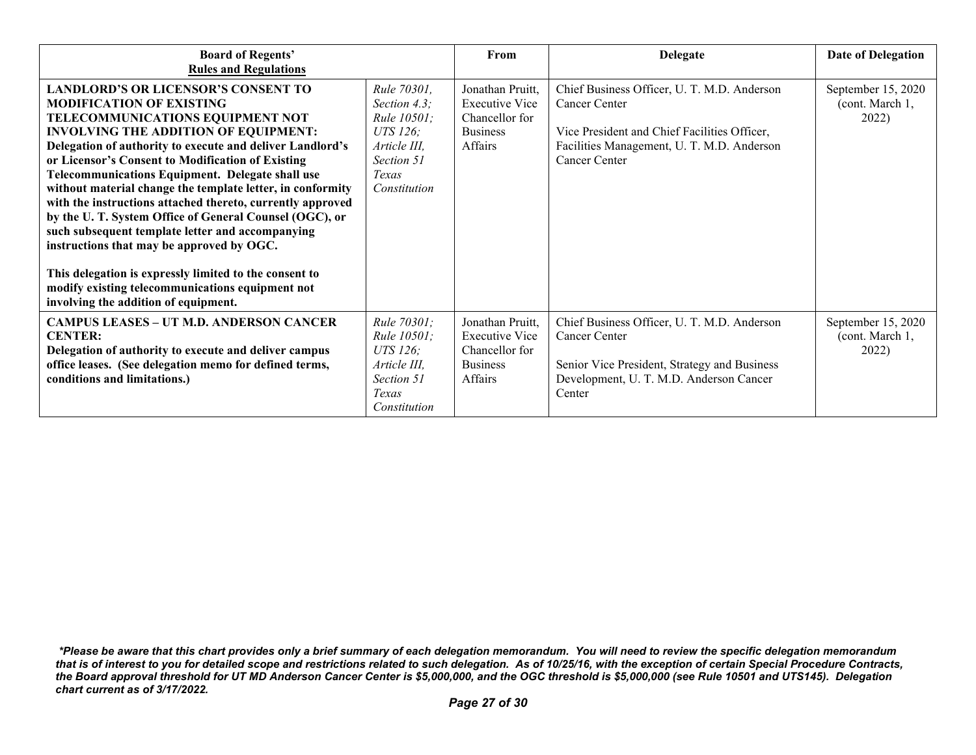| <b>Board of Regents'</b><br><b>Rules and Regulations</b>                                                                                                                                                                                                                                                                                                                                                                                                                                                                                                                                                                                                                                                                                                                                   |                                                                                                               | From                                                                                      | <b>Delegate</b>                                                                                                                                                             | <b>Date of Delegation</b>                      |
|--------------------------------------------------------------------------------------------------------------------------------------------------------------------------------------------------------------------------------------------------------------------------------------------------------------------------------------------------------------------------------------------------------------------------------------------------------------------------------------------------------------------------------------------------------------------------------------------------------------------------------------------------------------------------------------------------------------------------------------------------------------------------------------------|---------------------------------------------------------------------------------------------------------------|-------------------------------------------------------------------------------------------|-----------------------------------------------------------------------------------------------------------------------------------------------------------------------------|------------------------------------------------|
| <b>LANDLORD'S OR LICENSOR'S CONSENT TO</b><br><b>MODIFICATION OF EXISTING</b><br>TELECOMMUNICATIONS EQUIPMENT NOT<br><b>INVOLVING THE ADDITION OF EQUIPMENT:</b><br>Delegation of authority to execute and deliver Landlord's<br>or Licensor's Consent to Modification of Existing<br><b>Telecommunications Equipment. Delegate shall use</b><br>without material change the template letter, in conformity<br>with the instructions attached thereto, currently approved<br>by the U.T. System Office of General Counsel (OGC), or<br>such subsequent template letter and accompanying<br>instructions that may be approved by OGC.<br>This delegation is expressly limited to the consent to<br>modify existing telecommunications equipment not<br>involving the addition of equipment. | Rule 70301,<br>Section 4.3;<br>Rule 10501;<br>UTS 126;<br>Article III,<br>Section 51<br>Texas<br>Constitution | Jonathan Pruitt,<br><b>Executive Vice</b><br>Chancellor for<br><b>Business</b><br>Affairs | Chief Business Officer, U. T. M.D. Anderson<br>Cancer Center<br>Vice President and Chief Facilities Officer,<br>Facilities Management, U. T. M.D. Anderson<br>Cancer Center | September 15, 2020<br>(cont. March 1,<br>2022) |
| <b>CAMPUS LEASES - UT M.D. ANDERSON CANCER</b><br><b>CENTER:</b><br>Delegation of authority to execute and deliver campus<br>office leases. (See delegation memo for defined terms,<br>conditions and limitations.)                                                                                                                                                                                                                                                                                                                                                                                                                                                                                                                                                                        | Rule 70301;<br><i>Rule 10501;</i><br>UTS 126;<br>Article III,<br>Section 51<br>Texas<br>Constitution          | Jonathan Pruitt,<br><b>Executive Vice</b><br>Chancellor for<br><b>Business</b><br>Affairs | Chief Business Officer, U. T. M.D. Anderson<br>Cancer Center<br>Senior Vice President, Strategy and Business<br>Development, U. T. M.D. Anderson Cancer<br>Center           | September 15, 2020<br>(cont. March 1,<br>2022) |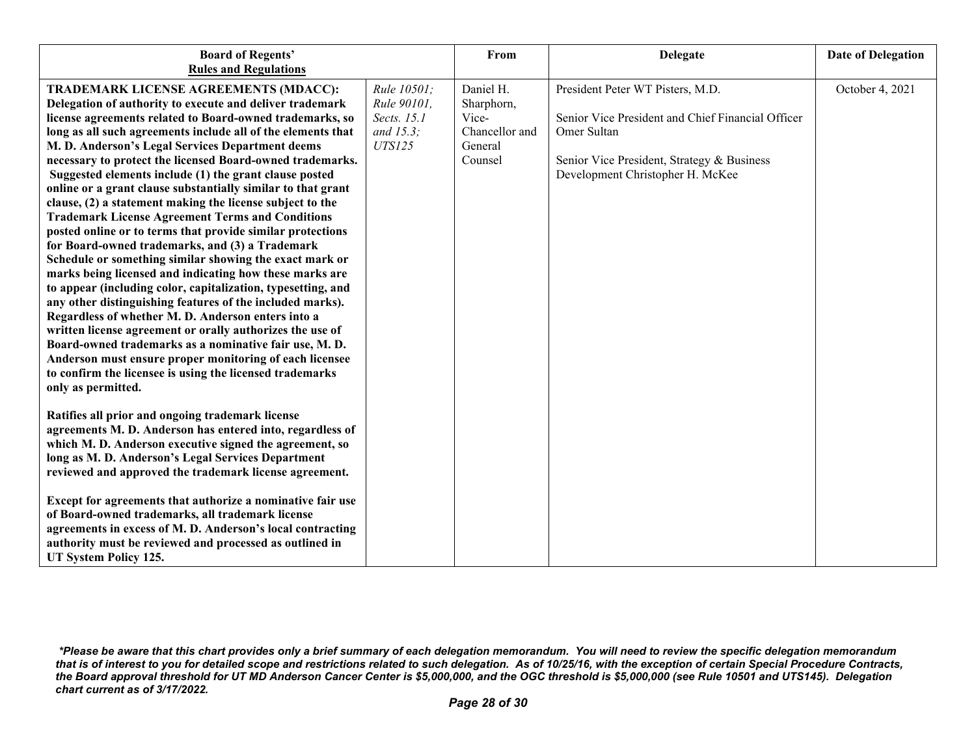| <b>Board of Regents'</b><br><b>Rules and Regulations</b>                                                                                                                                                                                                                                                                                                                                                                                                                                                                                                                                                                                                                                                                                                                                                                                                                                                                                                                                                                                                                                                                                                                                                                                                                                      |                                                                            | From                                                                     | <b>Delegate</b>                                                                                                                                                                        | <b>Date of Delegation</b> |
|-----------------------------------------------------------------------------------------------------------------------------------------------------------------------------------------------------------------------------------------------------------------------------------------------------------------------------------------------------------------------------------------------------------------------------------------------------------------------------------------------------------------------------------------------------------------------------------------------------------------------------------------------------------------------------------------------------------------------------------------------------------------------------------------------------------------------------------------------------------------------------------------------------------------------------------------------------------------------------------------------------------------------------------------------------------------------------------------------------------------------------------------------------------------------------------------------------------------------------------------------------------------------------------------------|----------------------------------------------------------------------------|--------------------------------------------------------------------------|----------------------------------------------------------------------------------------------------------------------------------------------------------------------------------------|---------------------------|
| TRADEMARK LICENSE AGREEMENTS (MDACC):<br>Delegation of authority to execute and deliver trademark<br>license agreements related to Board-owned trademarks, so<br>long as all such agreements include all of the elements that<br>M. D. Anderson's Legal Services Department deems<br>necessary to protect the licensed Board-owned trademarks.<br>Suggested elements include (1) the grant clause posted<br>online or a grant clause substantially similar to that grant<br>clause, (2) a statement making the license subject to the<br><b>Trademark License Agreement Terms and Conditions</b><br>posted online or to terms that provide similar protections<br>for Board-owned trademarks, and (3) a Trademark<br>Schedule or something similar showing the exact mark or<br>marks being licensed and indicating how these marks are<br>to appear (including color, capitalization, typesetting, and<br>any other distinguishing features of the included marks).<br>Regardless of whether M. D. Anderson enters into a<br>written license agreement or orally authorizes the use of<br>Board-owned trademarks as a nominative fair use, M.D.<br>Anderson must ensure proper monitoring of each licensee<br>to confirm the licensee is using the licensed trademarks<br>only as permitted. | Rule 10501;<br>Rule 90101,<br>Sects. 15.1<br>and $15.3$ ;<br><b>UTS125</b> | Daniel H.<br>Sharphorn,<br>Vice-<br>Chancellor and<br>General<br>Counsel | President Peter WT Pisters, M.D.<br>Senior Vice President and Chief Financial Officer<br>Omer Sultan<br>Senior Vice President, Strategy & Business<br>Development Christopher H. McKee | October 4, 2021           |
| Ratifies all prior and ongoing trademark license<br>agreements M. D. Anderson has entered into, regardless of<br>which M. D. Anderson executive signed the agreement, so<br>long as M. D. Anderson's Legal Services Department<br>reviewed and approved the trademark license agreement.                                                                                                                                                                                                                                                                                                                                                                                                                                                                                                                                                                                                                                                                                                                                                                                                                                                                                                                                                                                                      |                                                                            |                                                                          |                                                                                                                                                                                        |                           |
| Except for agreements that authorize a nominative fair use<br>of Board-owned trademarks, all trademark license<br>agreements in excess of M. D. Anderson's local contracting<br>authority must be reviewed and processed as outlined in<br>UT System Policy 125.                                                                                                                                                                                                                                                                                                                                                                                                                                                                                                                                                                                                                                                                                                                                                                                                                                                                                                                                                                                                                              |                                                                            |                                                                          |                                                                                                                                                                                        |                           |

*<sup>\*</sup>Please be aware that this chart provides only a brief summary of each delegation memorandum. You will need to review the specific delegation memorandum that is of interest to you for detailed scope and restrictions related to such delegation. As of 10/25/16, with the exception of certain Special Procedure Contracts, the Board approval threshold for UT MD Anderson Cancer Center is \$5,000,000, and the OGC threshold is \$5,000,000 (see Rule 10501 and UTS145). Delegation chart current as of 3/17/2022.*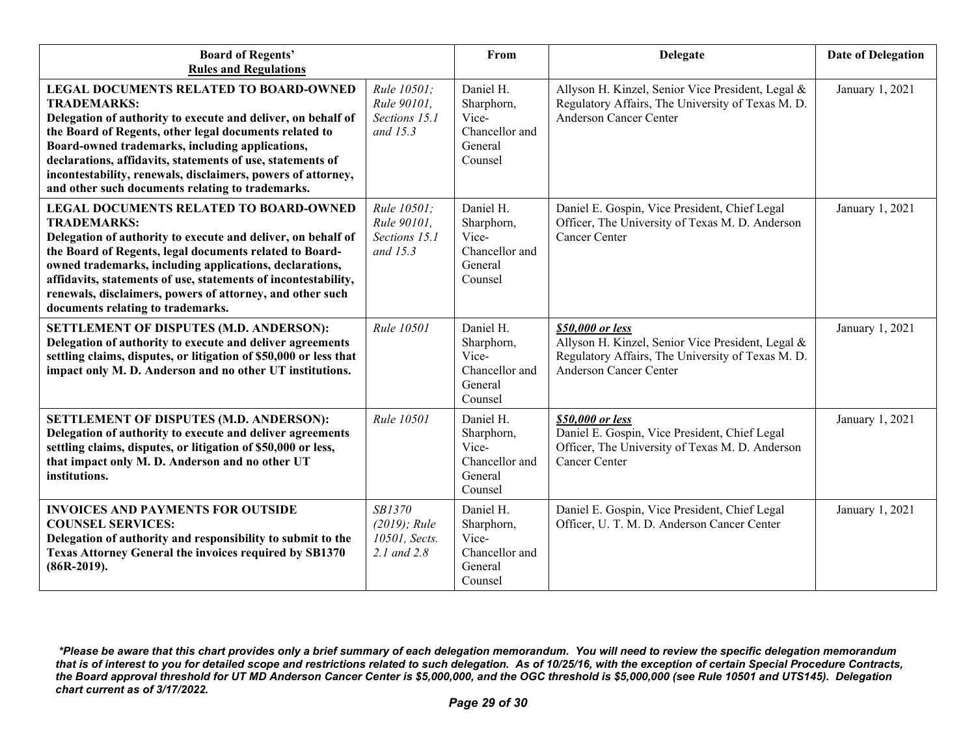| <b>Board of Regents'</b><br><b>Rules and Regulations</b>                                                                                                                                                                                                                                                                                                                                                                           |                                                           | From                                                                     | <b>Delegate</b>                                                                                                                                             | <b>Date of Delegation</b> |
|------------------------------------------------------------------------------------------------------------------------------------------------------------------------------------------------------------------------------------------------------------------------------------------------------------------------------------------------------------------------------------------------------------------------------------|-----------------------------------------------------------|--------------------------------------------------------------------------|-------------------------------------------------------------------------------------------------------------------------------------------------------------|---------------------------|
| <b>LEGAL DOCUMENTS RELATED TO BOARD-OWNED</b><br><b>TRADEMARKS:</b><br>Delegation of authority to execute and deliver, on behalf of<br>the Board of Regents, other legal documents related to<br>Board-owned trademarks, including applications,<br>declarations, affidavits, statements of use, statements of<br>incontestability, renewals, disclaimers, powers of attorney,<br>and other such documents relating to trademarks. | Rule 10501:<br>Rule 90101.<br>Sections 15.1<br>and $15.3$ | Daniel H.<br>Sharphorn,<br>Vice-<br>Chancellor and<br>General<br>Counsel | Allyson H. Kinzel, Senior Vice President, Legal &<br>Regulatory Affairs, The University of Texas M. D.<br><b>Anderson Cancer Center</b>                     | January 1, 2021           |
| LEGAL DOCUMENTS RELATED TO BOARD-OWNED<br><b>TRADEMARKS:</b><br>Delegation of authority to execute and deliver, on behalf of<br>the Board of Regents, legal documents related to Board-<br>owned trademarks, including applications, declarations,<br>affidavits, statements of use, statements of incontestability,<br>renewals, disclaimers, powers of attorney, and other such<br>documents relating to trademarks.             | Rule 10501;<br>Rule 90101.<br>Sections 15.1<br>and $15.3$ | Daniel H.<br>Sharphorn,<br>Vice-<br>Chancellor and<br>General<br>Counsel | Daniel E. Gospin, Vice President, Chief Legal<br>Officer, The University of Texas M. D. Anderson<br>Cancer Center                                           | January 1, 2021           |
| SETTLEMENT OF DISPUTES (M.D. ANDERSON):<br>Delegation of authority to execute and deliver agreements<br>settling claims, disputes, or litigation of \$50,000 or less that<br>impact only M. D. Anderson and no other UT institutions.                                                                                                                                                                                              | Rule 10501                                                | Daniel H.<br>Sharphorn,<br>Vice-<br>Chancellor and<br>General<br>Counsel | \$50,000 or less<br>Allyson H. Kinzel, Senior Vice President, Legal &<br>Regulatory Affairs, The University of Texas M. D.<br><b>Anderson Cancer Center</b> | January 1, 2021           |
| SETTLEMENT OF DISPUTES (M.D. ANDERSON):<br>Delegation of authority to execute and deliver agreements<br>settling claims, disputes, or litigation of \$50,000 or less,<br>that impact only M. D. Anderson and no other UT<br>institutions.                                                                                                                                                                                          | Rule 10501                                                | Daniel H.<br>Sharphorn,<br>Vice-<br>Chancellor and<br>General<br>Counsel | \$50,000 or less<br>Daniel E. Gospin, Vice President, Chief Legal<br>Officer, The University of Texas M. D. Anderson<br>Cancer Center                       | January 1, 2021           |
| <b>INVOICES AND PAYMENTS FOR OUTSIDE</b><br><b>COUNSEL SERVICES:</b><br>Delegation of authority and responsibility to submit to the<br>Texas Attorney General the invoices required by SB1370<br>$(86R-2019).$                                                                                                                                                                                                                     | SB1370<br>$(2019)$ ; Rule<br>10501, Sects.<br>2.1 and 2.8 | Daniel H.<br>Sharphorn,<br>Vice-<br>Chancellor and<br>General<br>Counsel | Daniel E. Gospin, Vice President, Chief Legal<br>Officer, U. T. M. D. Anderson Cancer Center                                                                | January 1, 2021           |

*<sup>\*</sup>Please be aware that this chart provides only a brief summary of each delegation memorandum. You will need to review the specific delegation memorandum that is of interest to you for detailed scope and restrictions related to such delegation. As of 10/25/16, with the exception of certain Special Procedure Contracts, the Board approval threshold for UT MD Anderson Cancer Center is \$5,000,000, and the OGC threshold is \$5,000,000 (see Rule 10501 and UTS145). Delegation chart current as of 3/17/2022.*